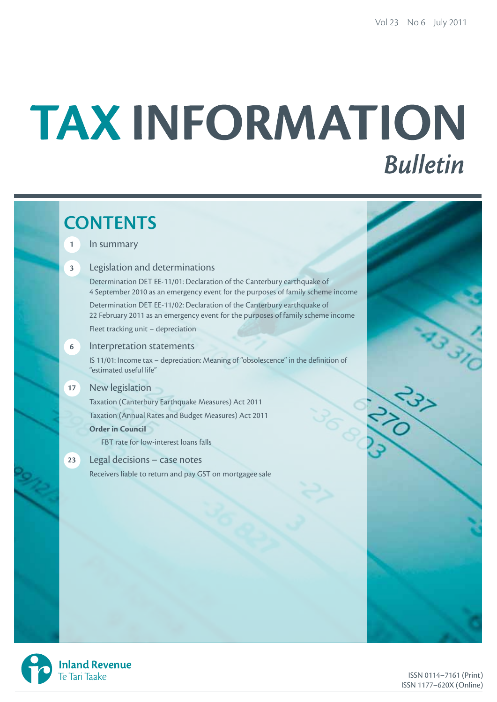# TAX INFORMATION **Bulletin**

# **CONTENTS**

### **1** In summary

### **3** Legislation and determinations

Determination DET EE-11/01: Declaration of the Canterbury earthquake of 4 September 2010 as an emergency event for the purposes of family scheme income

Determination DET EE-11/02: Declaration of the Canterbury earthquake of 22 February 2011 as an emergency event for the purposes of family scheme income Fleet tracking unit – depreciation

**6** Interpretation statements

IS 11/01: Income tax – depreciation: Meaning of "obsolescence" in the definition of "estimated useful life"

### **17** New legislation

Taxation (Canterbury Earthquake Measures) Act 2011 Taxation (Annual Rates and Budget Measures) Act 2011 **Order in Council**

FBT rate for low-interest loans falls

**23** Legal decisions – case notes Receivers liable to return and pay GST on mortgagee sale

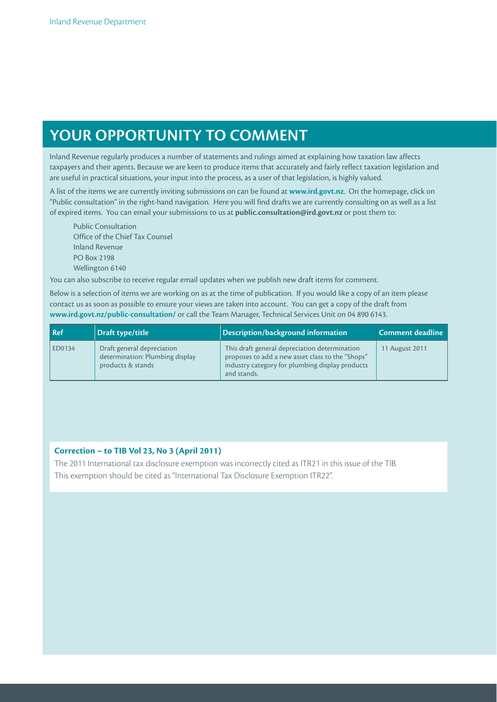# **YOUR OPPORTUNITY TO COMMENT**

Inland Revenue regularly produces a number of statements and rulings aimed at explaining how taxation law affects taxpayers and their agents. Because we are keen to produce items that accurately and fairly reflect taxation legislation and are useful in practical situations, your input into the process, as a user of that legislation, is highly valued.

A list of the items we are currently inviting submissions on can be found at **www.ird.govt.nz**. On the homepage, click on "Public consultation" in the right-hand navigation. Here you will find drafts we are currently consulting on as well as a list of expired items. You can email your submissions to us at **public.consultation@ird.govt.nz** or post them to:

Public Consultation Office of the Chief Tax Counsel Inland Revenue PO Box 2198 Wellington 6140

You can also subscribe to receive regular email updates when we publish new draft items for comment.

Below is a selection of items we are working on as at the time of publication. If you would like a copy of an item please contact us as soon as possible to ensure your views are taken into account. You can get a copy of the draft from **www.ird.govt.nz/public-consultation/** or call the Team Manager, Technical Services Unit on 04 890 6143.

| $\vert$ Ref | Draft type/title                                                                   | Description/background information                                                                                                                                  | <b>Comment deadline</b> |
|-------------|------------------------------------------------------------------------------------|---------------------------------------------------------------------------------------------------------------------------------------------------------------------|-------------------------|
| ED0134      | Draft general depreciation<br>determination: Plumbing display<br>products & stands | This draft general depreciation determination<br>proposes to add a new asset class to the "Shops"<br>industry category for plumbing display products<br>and stands. | 11 August 2011          |

### **Correction – to TIB Vol 23, No 3 (April 2011)**

The 2011 International tax disclosure exemption was incorrectly cited as ITR21 in this issue of the TIB. This exemption should be cited as "International Tax Disclosure Exemption ITR22".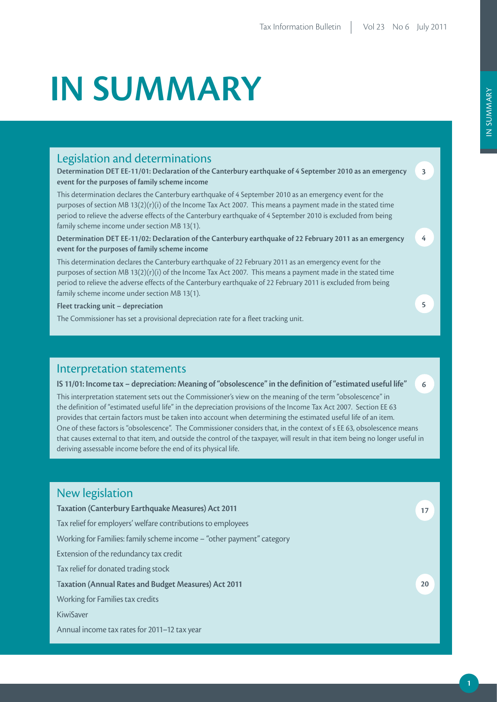# **IN SUMMARY**

### Legislation and determinations

**Determination DET EE-11/01: Declaration of the Canterbury earthquake of 4 September 2010 as an emergency event for the purposes of family scheme income**

This determination declares the Canterbury earthquake of 4 September 2010 as an emergency event for the purposes of section MB 13(2)(r)(i) of the Income Tax Act 2007. This means a payment made in the stated time period to relieve the adverse effects of the Canterbury earthquake of 4 September 2010 is excluded from being family scheme income under section MB 13(1).

**Determination DET EE-11/02: Declaration of the Canterbury earthquake of 22 February 2011 as an emergency event for the purposes of family scheme income**

This determination declares the Canterbury earthquake of 22 February 2011 as an emergency event for the purposes of section MB 13(2)(r)(i) of the Income Tax Act 2007. This means a payment made in the stated time period to relieve the adverse effects of the Canterbury earthquake of 22 February 2011 is excluded from being family scheme income under section MB 13(1).

**Fleet tracking unit – depreciation**

The Commissioner has set a provisional depreciation rate for a fleet tracking unit.

### Interpretation statements

### **IS 11/01: Income tax – depreciation: Meaning of "obsolescence" in the definition of "estimated useful life"**

This interpretation statement sets out the Commissioner's view on the meaning of the term "obsolescence" in the definition of "estimated useful life" in the depreciation provisions of the Income Tax Act 2007. Section EE 63 provides that certain factors must be taken into account when determining the estimated useful life of an item. One of these factors is "obsolescence". The Commissioner considers that, in the context of s EE 63, obsolescence means that causes external to that item, and outside the control of the taxpayer, will result in that item being no longer useful in deriving assessable income before the end of its physical life.

### New legislation **Taxation (Canterbury Earthquake Measures) Act 2011** Tax relief for employers' welfare contributions to employees Working for Families: family scheme income – "other payment" category Extension of the redundancy tax credit Tax relief for donated trading stock T**axation (Annual Rates and Budget Measures) Act 2011** Working for Families tax credits KiwiSaver Annual income tax rates for 2011–12 tax year **17 20**

**3**

**4**

**5**

**6**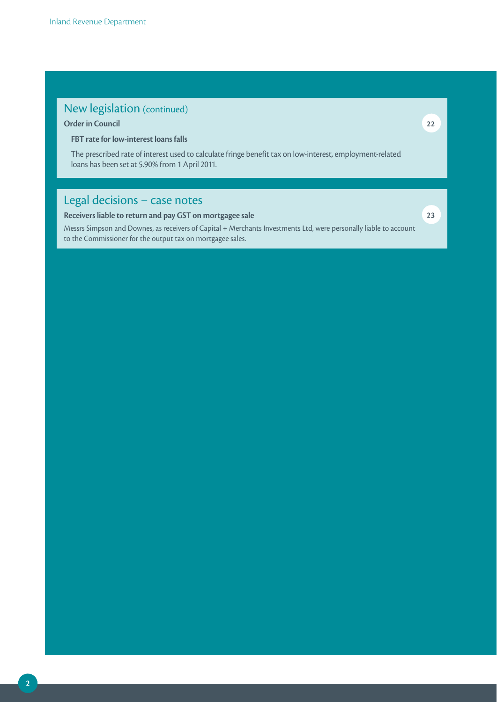### New legislation (continued)

### **Order in Council**

**FBT rate for low-interest loans falls**

The prescribed rate of interest used to calculate fringe benefit tax on low-interest, employment-related loans has been set at 5.90% from 1 April 2011.

## Legal decisions – case notes

**Receivers liable to return and pay GST on mortgagee sale**

Messrs Simpson and Downes, as receivers of Capital + Merchants Investments Ltd, were personally liable to account to the Commissioner for the output tax on mortgagee sales.

**23**

**22**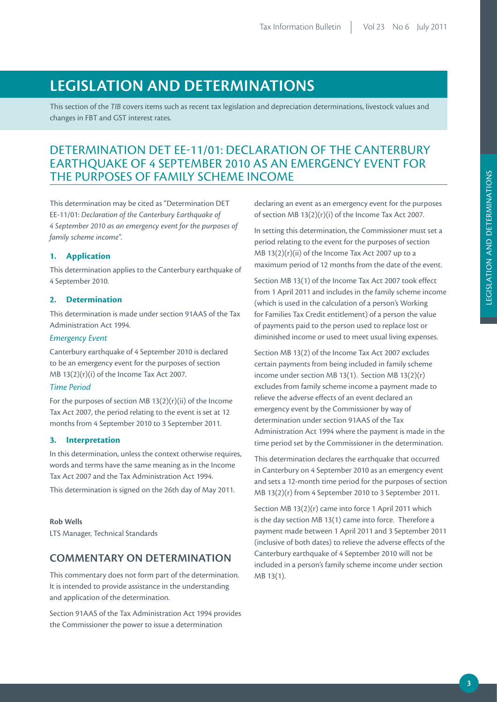## **LEGISLATION AND DETERMINATIONS**

This section of the *TIB* covers items such as recent tax legislation and depreciation determinations, livestock values and changes in FBT and GST interest rates.

### DETERMINATION DET EE-11/01: DECLARATION OF THE CANTERBURY EARTHQUAKE OF 4 SEPTEMBER 2010 AS AN EMERGENCY EVENT FOR THE PURPOSES OF FAMILY SCHEME INCOME

This determination may be cited as "Determination DET EE-11/01: *Declaration of the Canterbury Earthquake of 4 September 2010 as an emergency event for the purposes of family scheme income*".

### **1. Application**

This determination applies to the Canterbury earthquake of 4 September 2010.

### **2. Determination**

This determination is made under section 91AAS of the Tax Administration Act 1994.

#### *Emergency Event*

Canterbury earthquake of 4 September 2010 is declared to be an emergency event for the purposes of section MB 13(2)(r)(i) of the Income Tax Act 2007.

### *Time Period*

For the purposes of section MB  $13(2)(r)(ii)$  of the Income Tax Act 2007, the period relating to the event is set at 12 months from 4 September 2010 to 3 September 2011.

#### **3. Interpretation**

In this determination, unless the context otherwise requires, words and terms have the same meaning as in the Income Tax Act 2007 and the Tax Administration Act 1994.

This determination is signed on the 26th day of May 2011.

### **Rob Wells**

LTS Manager, Technical Standards

### **COMMENTARY ON DETERMINATION**

This commentary does not form part of the determination. It is intended to provide assistance in the understanding and application of the determination.

Section 91AAS of the Tax Administration Act 1994 provides the Commissioner the power to issue a determination

declaring an event as an emergency event for the purposes of section MB 13(2)(r)(i) of the Income Tax Act 2007.

In setting this determination, the Commissioner must set a period relating to the event for the purposes of section MB 13(2)(r)(ii) of the Income Tax Act 2007 up to a maximum period of 12 months from the date of the event.

Section MB 13(1) of the Income Tax Act 2007 took effect from 1 April 2011 and includes in the family scheme income (which is used in the calculation of a person's Working for Families Tax Credit entitlement) of a person the value of payments paid to the person used to replace lost or diminished income or used to meet usual living expenses.

Section MB 13(2) of the Income Tax Act 2007 excludes certain payments from being included in family scheme income under section MB 13(1). Section MB 13(2)(r) excludes from family scheme income a payment made to relieve the adverse effects of an event declared an emergency event by the Commissioner by way of determination under section 91AAS of the Tax Administration Act 1994 where the payment is made in the time period set by the Commissioner in the determination.

This determination declares the earthquake that occurred in Canterbury on 4 September 2010 as an emergency event and sets a 12-month time period for the purposes of section MB 13(2)(r) from 4 September 2010 to 3 September 2011.

Section MB 13(2)(r) came into force 1 April 2011 which is the day section MB 13(1) came into force. Therefore a payment made between 1 April 2011 and 3 September 2011 (inclusive of both dates) to relieve the adverse effects of the Canterbury earthquake of 4 September 2010 will not be included in a person's family scheme income under section MB 13(1).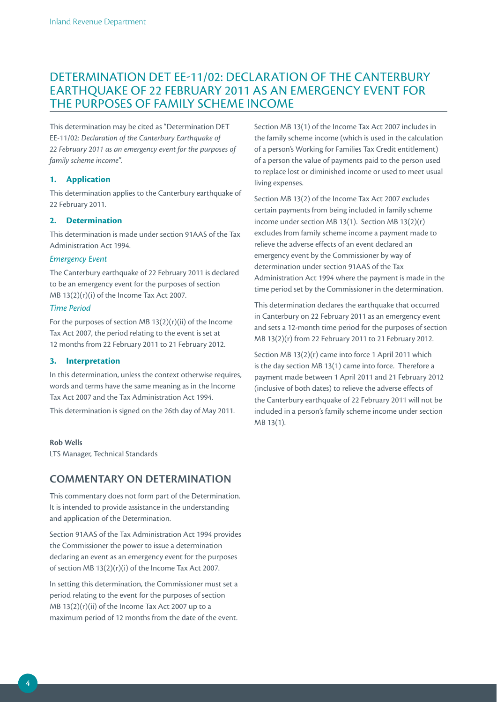### DETERMINATION DET EE-11/02: DECLARATION OF THE CANTERBURY EARTHQUAKE OF 22 FEBRUARY 2011 AS AN EMERGENCY EVENT FOR THE PURPOSES OF FAMILY SCHEME INCOME

This determination may be cited as "Determination DET EE-11/02: *Declaration of the Canterbury Earthquake of 22 February 2011 as an emergency event for the purposes of family scheme income*".

### **1. Application**

This determination applies to the Canterbury earthquake of 22 February 2011.

### **2. Determination**

This determination is made under section 91AAS of the Tax Administration Act 1994.

#### *Emergency Event*

The Canterbury earthquake of 22 February 2011 is declared to be an emergency event for the purposes of section MB 13(2)(r)(i) of the Income Tax Act 2007.

#### *Time Period*

For the purposes of section MB  $13(2)(r)(ii)$  of the Income Tax Act 2007, the period relating to the event is set at 12 months from 22 February 2011 to 21 February 2012.

### **3. Interpretation**

In this determination, unless the context otherwise requires, words and terms have the same meaning as in the Income Tax Act 2007 and the Tax Administration Act 1994. This determination is signed on the 26th day of May 2011.

**Rob Wells** 

LTS Manager, Technical Standards

### **COMMENTARY ON DETERMINATION**

This commentary does not form part of the Determination. It is intended to provide assistance in the understanding and application of the Determination.

Section 91AAS of the Tax Administration Act 1994 provides the Commissioner the power to issue a determination declaring an event as an emergency event for the purposes of section MB 13(2)(r)(i) of the Income Tax Act 2007.

In setting this determination, the Commissioner must set a period relating to the event for the purposes of section MB 13(2)(r)(ii) of the Income Tax Act 2007 up to a maximum period of 12 months from the date of the event.

Section MB 13(1) of the Income Tax Act 2007 includes in the family scheme income (which is used in the calculation of a person's Working for Families Tax Credit entitlement) of a person the value of payments paid to the person used to replace lost or diminished income or used to meet usual living expenses.

Section MB 13(2) of the Income Tax Act 2007 excludes certain payments from being included in family scheme income under section MB 13(1). Section MB 13(2)(r) excludes from family scheme income a payment made to relieve the adverse effects of an event declared an emergency event by the Commissioner by way of determination under section 91AAS of the Tax Administration Act 1994 where the payment is made in the time period set by the Commissioner in the determination.

This determination declares the earthquake that occurred in Canterbury on 22 February 2011 as an emergency event and sets a 12-month time period for the purposes of section MB 13(2)(r) from 22 February 2011 to 21 February 2012.

Section MB 13(2)(r) came into force 1 April 2011 which is the day section MB 13(1) came into force. Therefore a payment made between 1 April 2011 and 21 February 2012 (inclusive of both dates) to relieve the adverse effects of the Canterbury earthquake of 22 February 2011 will not be included in a person's family scheme income under section MB 13(1).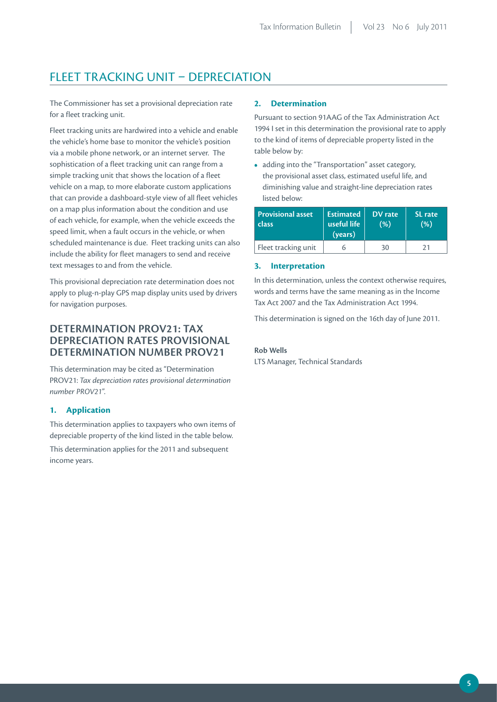### FLEET TRACKING UNIT – DEPRECIATION

The Commissioner has set a provisional depreciation rate for a fleet tracking unit.

Fleet tracking units are hardwired into a vehicle and enable the vehicle's home base to monitor the vehicle's position via a mobile phone network, or an internet server. The sophistication of a fleet tracking unit can range from a simple tracking unit that shows the location of a fleet vehicle on a map, to more elaborate custom applications that can provide a dashboard-style view of all fleet vehicles on a map plus information about the condition and use of each vehicle, for example, when the vehicle exceeds the speed limit, when a fault occurs in the vehicle, or when scheduled maintenance is due. Fleet tracking units can also include the ability for fleet managers to send and receive text messages to and from the vehicle.

This provisional depreciation rate determination does not apply to plug-n-play GPS map display units used by drivers for navigation purposes.

### **DETERMINATION PROV21: TAX DEPRECIATION RATES PR OVISIONAL DETERMINATION NUMBER PR OV21**

This determination may be cited as "Determination PROV21: *Tax depreciation rates provisional determination number PROV21*".

### **1. Application**

This determination applies to taxpayers who own items of depreciable property of the kind listed in the table below.

This determination applies for the 2011 and subsequent income years.

### **2. Determination**

Pursuant to section 91AAG of the Tax Administration Act 1994 I set in this determination the provisional rate to apply to the kind of items of depreciable property listed in the table below by:

**•**  adding into the "Transportation" asset category, the provisional asset class, estimated useful life, and diminishing value and straight-line depreciation rates listed below:

| <b>Provisional asset</b><br>class | <b>Estimated</b><br>useful life'<br>(years) | DV rate<br>(% ) | <b>SL</b> rate<br>(% ) |
|-----------------------------------|---------------------------------------------|-----------------|------------------------|
| Fleet tracking unit               |                                             | 30              | 21                     |

#### **3. Interpretation**

In this determination, unless the context otherwise requires, words and terms have the same meaning as in the Income Tax Act 2007 and the Tax Administration Act 1994.

This determination is signed on the 16th day of June 2011.

# **Rob Wells**

LTS Manager, Technical Standards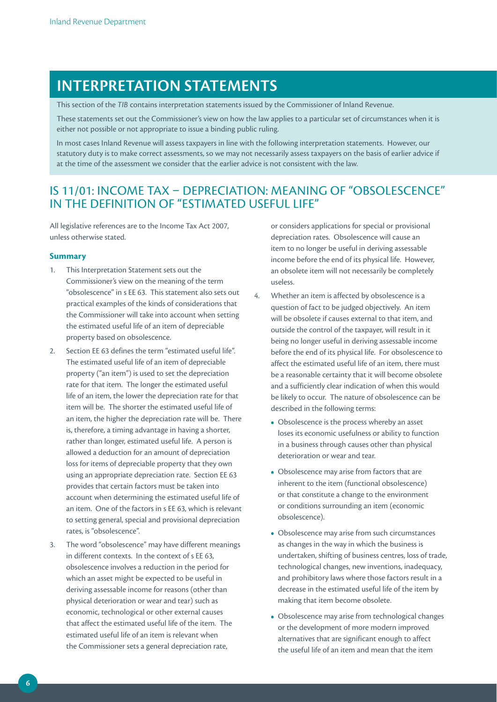# **INTERPRETATION STATEMENTs**

This section of the *TIB* contains interpretation statements issued by the Commissioner of Inland Revenue.

These statements set out the Commissioner's view on how the law applies to a particular set of circumstances when it is either not possible or not appropriate to issue a binding public ruling.

In most cases Inland Revenue will assess taxpayers in line with the following interpretation statements. However, our statutory duty is to make correct assessments, so we may not necessarily assess taxpayers on the basis of earlier advice if at the time of the assessment we consider that the earlier advice is not consistent with the law.

### IS 11/01: INCOME TAX – DEPRECIATION: MEANING OF "OBSOLESCENCE" IN THE DEFINITION OF "ESTIMATED USEFUL LIFE"

All legislative references are to the Income Tax Act 2007, unless otherwise stated.

### **Summary**

- 1. This Interpretation Statement sets out the Commissioner's view on the meaning of the term "obsolescence" in s EE 63. This statement also sets out practical examples of the kinds of considerations that the Commissioner will take into account when setting the estimated useful life of an item of depreciable property based on obsolescence.
- 2. Section EE 63 defines the term "estimated useful life". The estimated useful life of an item of depreciable property ("an item") is used to set the depreciation rate for that item. The longer the estimated useful life of an item, the lower the depreciation rate for that item will be. The shorter the estimated useful life of an item, the higher the depreciation rate will be. There is, therefore, a timing advantage in having a shorter, rather than longer, estimated useful life. A person is allowed a deduction for an amount of depreciation loss for items of depreciable property that they own using an appropriate depreciation rate. Section EE 63 provides that certain factors must be taken into account when determining the estimated useful life of an item. One of the factors in s EE 63, which is relevant to setting general, special and provisional depreciation rates, is "obsolescence".
- 3. The word "obsolescence" may have different meanings in different contexts. In the context of s EE 63, obsolescence involves a reduction in the period for which an asset might be expected to be useful in deriving assessable income for reasons (other than physical deterioration or wear and tear) such as economic, technological or other external causes that affect the estimated useful life of the item. The estimated useful life of an item is relevant when the Commissioner sets a general depreciation rate,

or considers applications for special or provisional depreciation rates. Obsolescence will cause an item to no longer be useful in deriving assessable income before the end of its physical life. However, an obsolete item will not necessarily be completely useless.

- 4. Whether an item is affected by obsolescence is a question of fact to be judged objectively. An item will be obsolete if causes external to that item, and outside the control of the taxpayer, will result in it being no longer useful in deriving assessable income before the end of its physical life. For obsolescence to affect the estimated useful life of an item, there must be a reasonable certainty that it will become obsolete and a sufficiently clear indication of when this would be likely to occur. The nature of obsolescence can be described in the following terms:
	- Obsolescence is the process whereby an asset loses its economic usefulness or ability to function in a business through causes other than physical deterioration or wear and tear.
	- **•**  Obsolescence may arise from factors that are inherent to the item (functional obsolescence) or that constitute a change to the environment or conditions surrounding an item (economic obsolescence).
	- **•**  Obsolescence may arise from such circumstances as changes in the way in which the business is undertaken, shifting of business centres, loss of trade, technological changes, new inventions, inadequacy, and prohibitory laws where those factors result in a decrease in the estimated useful life of the item by making that item become obsolete.
	- Obsolescence may arise from technological changes or the development of more modern improved alternatives that are significant enough to affect the useful life of an item and mean that the item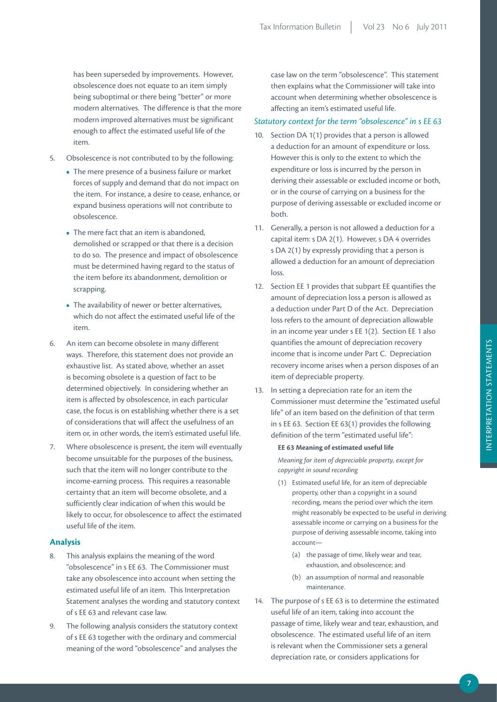has been superseded by improvements. However, obsolescence does not equate to an item simply being suboptimal or there being "better" or more modern alternatives. The difference is that the more modern improved alternatives must be significant enough to affect the estimated useful life of the item.

- 5. Obsolescence is not contributed to by the following:
	- The mere presence of a business failure or market forces of supply and demand that do not impact on the item. For instance, a desire to cease, enhance, or expand business operations will not contribute to obsolescence.
	- The mere fact that an item is abandoned, demolished or scrapped or that there is a decision to do so. The presence and impact of obsolescence must be determined having regard to the status of the item before its abandonment, demolition or scrapping.
	- **•**  The availability of newer or better alternatives, which do not affect the estimated useful life of the item.
- 6. An item can become obsolete in many different ways. Therefore, this statement does not provide an exhaustive list. As stated above, whether an asset is becoming obsolete is a question of fact to be determined objectively. In considering whether an item is affected by obsolescence, in each particular case, the focus is on establishing whether there is a set of considerations that will affect the usefulness of an item or, in other words, the item's estimated useful life.
- 7. Where obsolescence is present, the item will eventually become unsuitable for the purposes of the business, such that the item will no longer contribute to the income-earning process. This requires a reasonable certainty that an item will become obsolete, and a sufficiently clear indication of when this would be likely to occur, for obsolescence to affect the estimated useful life of the item.

### **Analysis**

- 8. This analysis explains the meaning of the word "obsolescence" in s EE 63. The Commissioner must take any obsolescence into account when setting the estimated useful life of an item. This Interpretation Statement analyses the wording and statutory context of s EE 63 and relevant case law.
- 9. The following analysis considers the statutory context of s EE 63 together with the ordinary and commercial meaning of the word "obsolescence" and analyses the

case law on the term "obsolescence". This statement then explains what the Commissioner will take into account when determining whether obsolescence is affecting an item's estimated useful life.

#### *Statutory context for the term "obsolescence" in s EE 63*

- 10. Section DA 1(1) provides that a person is allowed a deduction for an amount of expenditure or loss. However this is only to the extent to which the expenditure or loss is incurred by the person in deriving their assessable or excluded income or both, or in the course of carrying on a business for the purpose of deriving assessable or excluded income or both.
- 11. Generally, a person is not allowed a deduction for a capital item: s DA 2(1). However, s DA 4 overrides s DA 2(1) by expressly providing that a person is allowed a deduction for an amount of depreciation loss.
- 12. Section EE 1 provides that subpart EE quantifies the amount of depreciation loss a person is allowed as a deduction under Part D of the Act. Depreciation loss refers to the amount of depreciation allowable in an income year under s EE 1(2). Section EE 1 also quantifies the amount of depreciation recovery income that is income under Part C. Depreciation recovery income arises when a person disposes of an item of depreciable property.
- 13. In setting a depreciation rate for an item the Commissioner must determine the "estimated useful life" of an item based on the definition of that term in s EE 63. Section EE 63(1) provides the following definition of the term "estimated useful life":

#### **EE 63 Meaning of estimated useful life**

*Meaning for item of depreciable property, except for copyright in sound recording*

- (1) Estimated useful life, for an item of depreciable property, other than a copyright in a sound recording, means the period over which the item might reasonably be expected to be useful in deriving assessable income or carrying on a business for the purpose of deriving assessable income, taking into account—
	- (a) the passage of time, likely wear and tear, exhaustion, and obsolescence; and
	- (b) an assumption of normal and reasonable maintenance.
- 14. The purpose of s EE 63 is to determine the estimated useful life of an item, taking into account the passage of time, likely wear and tear, exhaustion, and obsolescence. The estimated useful life of an item is relevant when the Commissioner sets a general depreciation rate, or considers applications for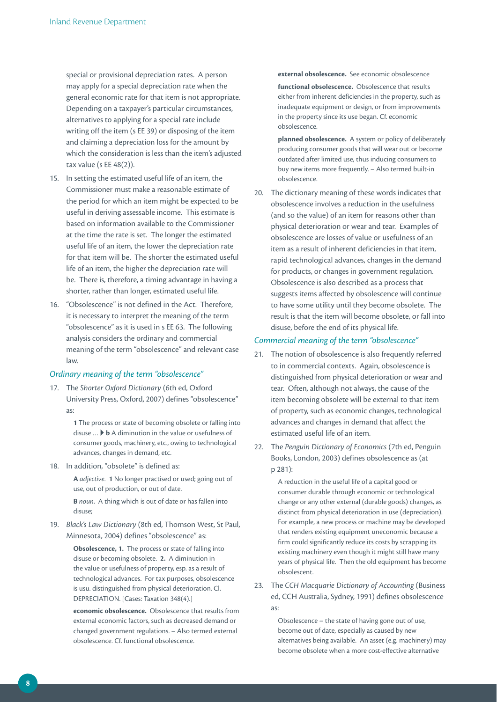special or provisional depreciation rates. A person may apply for a special depreciation rate when the general economic rate for that item is not appropriate. Depending on a taxpayer's particular circumstances, alternatives to applying for a special rate include writing off the item (s EE 39) or disposing of the item and claiming a depreciation loss for the amount by which the consideration is less than the item's adjusted tax value (s EE 48(2)).

- 15. In setting the estimated useful life of an item, the Commissioner must make a reasonable estimate of the period for which an item might be expected to be useful in deriving assessable income. This estimate is based on information available to the Commissioner at the time the rate is set. The longer the estimated useful life of an item, the lower the depreciation rate for that item will be. The shorter the estimated useful life of an item, the higher the depreciation rate will be. There is, therefore, a timing advantage in having a shorter, rather than longer, estimated useful life.
- 16. "Obsolescence" is not defined in the Act. Therefore, it is necessary to interpret the meaning of the term "obsolescence" as it is used in s EE 63. The following analysis considers the ordinary and commercial meaning of the term "obsolescence" and relevant case law.

### *Ordinary meaning of the term "obsolescence"*

17. The *Shorter Oxford Dictionary* (6th ed, Oxford University Press, Oxford, 2007) defines "obsolescence" as:

> **1** The process or state of becoming obsolete or falling into disuse … **b** A diminution in the value or usefulness of consumer goods, machinery, etc., owing to technological advances, changes in demand, etc.

18. In addition, "obsolete" is defined as:

**A** *adjective*. **1** No longer practised or used; going out of use, out of production, or out of date.

**B** *noun*. A thing which is out of date or has fallen into disuse;

19. *Black's Law Dictionary* (8th ed, Thomson West, St Paul, Minnesota, 2004) defines "obsolescence" as:

> **Obsolescence, 1.** The process or state of falling into disuse or becoming obsolete. **2.** A diminution in the value or usefulness of property, esp. as a result of technological advances. For tax purposes, obsolescence is usu. distinguished from physical deterioration. Cl. DEPRECIATION. [Cases: Taxation 348(4).]

**economic obsolescence.** Obsolescence that results from external economic factors, such as decreased demand or changed government regulations. – Also termed external obsolescence. Cf. functional obsolescence.

#### **external obsolescence.** See economic obsolescence

**functional obsolescence.** Obsolescence that results either from inherent deficiencies in the property, such as inadequate equipment or design, or from improvements in the property since its use began. Cf. economic obsolescence.

**planned obsolescence.** A system or policy of deliberately producing consumer goods that will wear out or become outdated after limited use, thus inducing consumers to buy new items more frequently. – Also termed built-in obsolescence.

20. The dictionary meaning of these words indicates that obsolescence involves a reduction in the usefulness (and so the value) of an item for reasons other than physical deterioration or wear and tear. Examples of obsolescence are losses of value or usefulness of an item as a result of inherent deficiencies in that item, rapid technological advances, changes in the demand for products, or changes in government regulation. Obsolescence is also described as a process that suggests items affected by obsolescence will continue to have some utility until they become obsolete. The result is that the item will become obsolete, or fall into disuse, before the end of its physical life.

#### *Commercial meaning of the term "obsolescence"*

- 21. The notion of obsolescence is also frequently referred to in commercial contexts. Again, obsolescence is distinguished from physical deterioration or wear and tear. Often, although not always, the cause of the item becoming obsolete will be external to that item of property, such as economic changes, technological advances and changes in demand that affect the estimated useful life of an item.
- 22. The *Penguin Dictionary of Economics* (7th ed, Penguin Books, London, 2003) defines obsolescence as (at p 281):

A reduction in the useful life of a capital good or consumer durable through economic or technological change or any other external (durable goods) changes, as distinct from physical deterioration in use (depreciation). For example, a new process or machine may be developed that renders existing equipment uneconomic because a firm could significantly reduce its costs by scrapping its existing machinery even though it might still have many years of physical life. Then the old equipment has become obsolescent.

23. The *CCH Macquarie Dictionary of Accounting* (Business ed, CCH Australia, Sydney, 1991) defines obsolescence as:

> Obsolescence – the state of having gone out of use, become out of date, especially as caused by new alternatives being available. An asset (e.g. machinery) may become obsolete when a more cost-effective alternative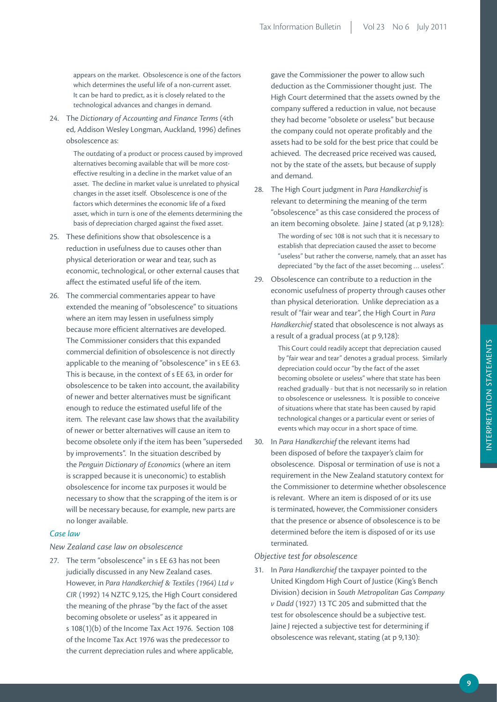appears on the market. Obsolescence is one of the factors which determines the useful life of a non-current asset. It can be hard to predict, as it is closely related to the technological advances and changes in demand.

24. The *Dictionary of Accounting and Finance Terms* (4th ed, Addison Wesley Longman, Auckland, 1996) defines obsolescence as:

> The outdating of a product or process caused by improved alternatives becoming available that will be more costeffective resulting in a decline in the market value of an asset. The decline in market value is unrelated to physical changes in the asset itself. Obsolescence is one of the factors which determines the economic life of a fixed asset, which in turn is one of the elements determining the basis of depreciation charged against the fixed asset.

- 25. These definitions show that obsolescence is a reduction in usefulness due to causes other than physical deterioration or wear and tear, such as economic, technological, or other external causes that affect the estimated useful life of the item.
- 26. The commercial commentaries appear to have extended the meaning of "obsolescence" to situations where an item may lessen in usefulness simply because more efficient alternatives are developed. The Commissioner considers that this expanded commercial definition of obsolescence is not directly applicable to the meaning of "obsolescence" in s EE 63. This is because, in the context of s EE 63, in order for obsolescence to be taken into account, the availability of newer and better alternatives must be significant enough to reduce the estimated useful life of the item. The relevant case law shows that the availability of newer or better alternatives will cause an item to become obsolete only if the item has been "superseded by improvements". In the situation described by the *Penguin Dictionary of Economics* (where an item is scrapped because it is uneconomic) to establish obsolescence for income tax purposes it would be necessary to show that the scrapping of the item is or will be necessary because, for example, new parts are no longer available.

### *Case law*

### *New Zealand case law on obsolescence*

27. The term "obsolescence" in s EE 63 has not been judicially discussed in any New Zealand cases. However, in *Para Handkerchief & Textiles (1964) Ltd v CIR* (1992) 14 NZTC 9,125, the High Court considered the meaning of the phrase "by the fact of the asset becoming obsolete or useless" as it appeared in s 108(1)(b) of the Income Tax Act 1976. Section 108 of the Income Tax Act 1976 was the predecessor to the current depreciation rules and where applicable,

gave the Commissioner the power to allow such deduction as the Commissioner thought just. The High Court determined that the assets owned by the company suffered a reduction in value, not because they had become "obsolete or useless" but because the company could not operate profitably and the assets had to be sold for the best price that could be achieved. The decreased price received was caused, not by the state of the assets, but because of supply and demand.

28. The High Court judgment in *Para Handkerchief* is relevant to determining the meaning of the term "obsolescence" as this case considered the process of an item becoming obsolete. Jaine J stated (at p 9,128):

> The wording of sec 108 is not such that it is necessary to establish that depreciation caused the asset to become "useless" but rather the converse, namely, that an asset has depreciated "by the fact of the asset becoming … useless".

29. Obsolescence can contribute to a reduction in the economic usefulness of property through causes other than physical deterioration. Unlike depreciation as a result of "fair wear and tear", the High Court in *Para Handkerchief* stated that obsolescence is not always as a result of a gradual process (at p 9,128):

> This Court could readily accept that depreciation caused by "fair wear and tear" denotes a gradual process. Similarly depreciation could occur "by the fact of the asset becoming obsolete or useless" where that state has been reached gradually - but that is not necessarily so in relation to obsolescence or uselessness. It is possible to conceive of situations where that state has been caused by rapid technological changes or a particular event or series of events which may occur in a short space of time.

30. In *Para Handkerchief* the relevant items had been disposed of before the taxpayer's claim for obsolescence. Disposal or termination of use is not a requirement in the New Zealand statutory context for the Commissioner to determine whether obsolescence is relevant. Where an item is disposed of or its use is terminated, however, the Commissioner considers that the presence or absence of obsolescence is to be determined before the item is disposed of or its use terminated.

### *Objective test for obsolescence*

31. In *Para Handkerchief* the taxpayer pointed to the United Kingdom High Court of Justice (King's Bench Division) decision in *South Metropolitan Gas Company v Dadd* (1927) 13 TC 205 and submitted that the test for obsolescence should be a subjective test. Jaine J rejected a subjective test for determining if obsolescence was relevant, stating (at p 9,130):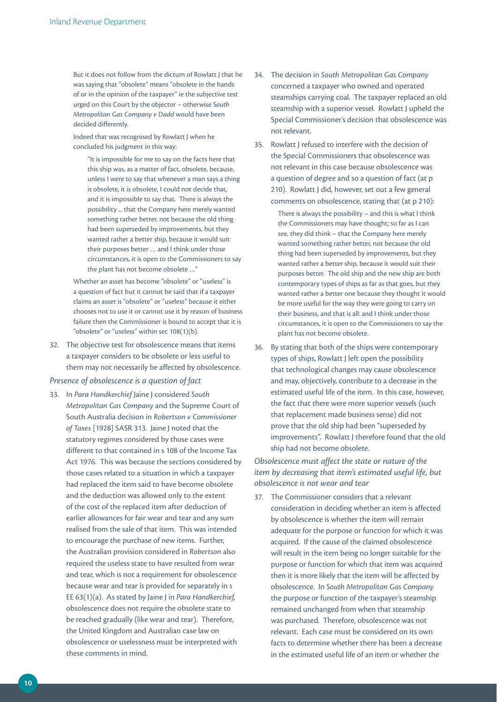But it does not follow from the dictum of Rowlatt J that he was saying that "obsolete" means "obsolete in the hands of or in the opinion of the taxpayer" ie the subjective test urged on this Court by the objector – otherwise S*outh Metropolitan Gas Company v Dadd* would have been decided differently.

Indeed that was recognised by Rowlatt J when he concluded his judgment in this way:

"It is impossible for me to say on the facts here that this ship was, as a matter of fact, obsolete, because, unless I were to say that whenever a man says a thing is obsolete, it is obsolete, I could not decide that, and it is impossible to say that. There is always the possibility ... that the Company here merely wanted something rather better, not because the old thing had been superseded by improvements, but they wanted rather a better ship, because it would suit their purposes better … and I think under those circumstances, it is open to the Commissioners to say the plant has not become obsolete …"

Whether an asset has become "obsolete" or "useless" is a question of fact but it cannot be said that if a taxpayer claims an asset is "obsolete" or "useless" because it either chooses not to use it or cannot use it by reason of business failure then the Commissioner is bound to accept that it is "obsolete" or "useless" within sec 108(1)(b).

32. The objective test for obsolescence means that items a taxpayer considers to be obsolete or less useful to them may not necessarily be affected by obsolescence.

*Presence of obsolescence is a question of fact*

33. In *Para Handkerchief* Jaine J considered *South Metropolitan Gas Company* and the Supreme Court of South Australia decision in *Robertson v Commissioner of Taxes* [1928] SASR 313. Jaine J noted that the statutory regimes considered by those cases were different to that contained in s 108 of the Income Tax Act 1976. This was because the sections considered by those cases related to a situation in which a taxpayer had replaced the item said to have become obsolete and the deduction was allowed only to the extent of the cost of the replaced item after deduction of earlier allowances for fair wear and tear and any sum realised from the sale of that item. This was intended to encourage the purchase of new items. Further, the Australian provision considered in *Robertson* also required the useless state to have resulted from wear and tear, which is not a requirement for obsolescence because wear and tear is provided for separately in s EE 63(1)(a). As stated by Jaine J in *Para Handkerchief,* obsolescence does not require the obsolete state to be reached gradually (like wear and tear). Therefore, the United Kingdom and Australian case law on obsolescence or uselessness must be interpreted with these comments in mind.

- 34. The decision in *South Metropolitan Gas Company* concerned a taxpayer who owned and operated steamships carrying coal. The taxpayer replaced an old steamship with a superior vessel. Rowlatt J upheld the Special Commissioner's decision that obsolescence was not relevant.
- 35. Rowlatt J refused to interfere with the decision of the Special Commissioners that obsolescence was not relevant in this case because obsolescence was a question of degree and so a question of fact (at p 210). Rowlatt J did, however, set out a few general comments on obsolescence, stating that (at p 210):

There is always the possibility – and this is what I think the Commissioners may have thought; so far as I can see, they did think – that the Company here merely wanted something rather better, not because the old thing had been superseded by improvements, but they wanted rather a better ship, because it would suit their purposes better. The old ship and the new ship are both contemporary types of ships as far as that goes, but they wanted rather a better one because they thought it would be more useful for the way they were going to carry on their business, and that is all: and I think under those circumstances, it is open to the Commissioners to say the plant has not become obsolete.

36. By stating that both of the ships were contemporary types of ships, Rowlatt J left open the possibility that technological changes may cause obsolescence and may, objectively, contribute to a decrease in the estimated useful life of the item. In this case, however, the fact that there were more superior vessels (such that replacement made business sense) did not prove that the old ship had been "superseded by improvements". Rowlatt J therefore found that the old ship had not become obsolete.

*Obsolescence must affect the state or nature of the item by decreasing that item's estimated useful life, but obsolescence is not wear and tear*

37. The Commissioner considers that a relevant consideration in deciding whether an item is affected by obsolescence is whether the item will remain adequate for the purpose or function for which it was acquired. If the cause of the claimed obsolescence will result in the item being no longer suitable for the purpose or function for which that item was acquired then it is more likely that the item will be affected by obsolescence. In *South Metropolitan Gas Company* the purpose or function of the taxpayer's steamship remained unchanged from when that steamship was purchased. Therefore, obsolescence was not relevant. Each case must be considered on its own facts to determine whether there has been a decrease in the estimated useful life of an item or whether the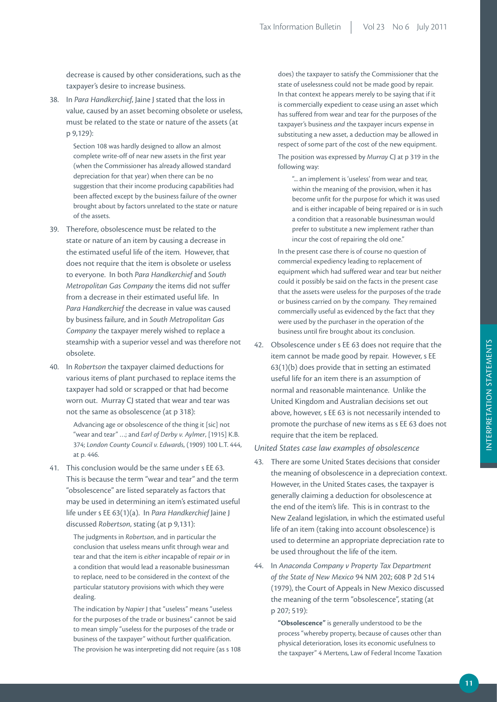decrease is caused by other considerations, such as the taxpayer's desire to increase business.

38. In *Para Handkerchief*, Jaine J stated that the loss in value, caused by an asset becoming obsolete or useless, must be related to the state or nature of the assets (at p 9,129):

> Section 108 was hardly designed to allow an almost complete write-off of near new assets in the first year (when the Commissioner has already allowed standard depreciation for that year) when there can be no suggestion that their income producing capabilities had been affected except by the business failure of the owner brought about by factors unrelated to the state or nature of the assets.

- 39. Therefore, obsolescence must be related to the state or nature of an item by causing a decrease in the estimated useful life of the item. However, that does not require that the item is obsolete or useless to everyone. In both *Para Handkerchief* and *South Metropolitan Gas Company* the items did not suffer from a decrease in their estimated useful life. In *Para Handkerchief* the decrease in value was caused by business failure, and in *South Metropolitan Gas Company* the taxpayer merely wished to replace a steamship with a superior vessel and was therefore not obsolete.
- 40. In *Robertson* the taxpayer claimed deductions for various items of plant purchased to replace items the taxpayer had sold or scrapped or that had become worn out. Murray CJ stated that wear and tear was not the same as obsolescence (at p 318):

Advancing age or obsolescence of the thing it [sic] not "wear and tear" …; and *Earl of Derby v. Aylmer*, [1915] K.B. 374; *London County Council v. Edwards*, (1909) 100 L.T. 444, at p. 446.

41. This conclusion would be the same under s EE 63. This is because the term "wear and tear" and the term "obsolescence" are listed separately as factors that may be used in determining an item's estimated useful life under s EE 63(1)(a). In *Para Handkerchief* Jaine J discussed *Robertson*, stating (at p 9,131):

> The judgments in *Robertson*, and in particular the conclusion that useless means unfit through wear and tear and that the item is *either* incapable of repair *or* in a condition that would lead a reasonable businessman to replace, need to be considered in the context of the particular statutory provisions with which they were dealing.

The indication by *Napier* J that "useless" means "useless for the purposes of the trade or business" cannot be said to mean simply "useless for the purposes of the trade or business of the taxpayer" without further qualification. The provision he was interpreting did not require (as s 108

does) the taxpayer to satisfy the Commissioner that the state of uselessness could not be made good by repair. In that context he appears merely to be saying that if it is commercially expedient to cease using an asset which has suffered from wear and tear for the purposes of the taxpayer's business *and* the taxpayer incurs expense in substituting a new asset, a deduction may be allowed in respect of some part of the cost of the new equipment.

The position was expressed by *Murray* CJ at p 319 in the following way:

"... an implement is 'useless' from wear and tear, within the meaning of the provision, when it has become unfit for the purpose for which it was used and is either incapable of being repaired or is in such a condition that a reasonable businessman would prefer to substitute a new implement rather than incur the cost of repairing the old one."

In the present case there is of course no question of commercial expediency leading to replacement of equipment which had suffered wear and tear but neither could it possibly be said on the facts in the present case that the assets were useless for the purposes of the trade or business carried on by the company. They remained commercially useful as evidenced by the fact that they were used by the purchaser in the operation of the business until fire brought about its conclusion.

42. Obsolescence under s EE 63 does not require that the item cannot be made good by repair. However, s EE 63(1)(b) does provide that in setting an estimated useful life for an item there is an assumption of normal and reasonable maintenance. Unlike the United Kingdom and Australian decisions set out above, however, s EE 63 is not necessarily intended to promote the purchase of new items as s EE 63 does not require that the item be replaced.

#### *United States case law examples of obsolescence*

- 43. There are some United States decisions that consider the meaning of obsolescence in a depreciation context. However, in the United States cases, the taxpayer is generally claiming a deduction for obsolescence at the end of the item's life. This is in contrast to the New Zealand legislation, in which the estimated useful life of an item (taking into account obsolescence) is used to determine an appropriate depreciation rate to be used throughout the life of the item.
- 44. In *Anaconda Company v Property Tax Department of the State of New Mexico* 94 NM 202; 608 P 2d 514 (1979), the Court of Appeals in New Mexico discussed the meaning of the term "obsolescence", stating (at p 207; 519):

**"Obsolescence"** is generally understood to be the process "whereby property, because of causes other than physical deterioration, loses its economic usefulness to the taxpayer" 4 Mertens, Law of Federal Income Taxation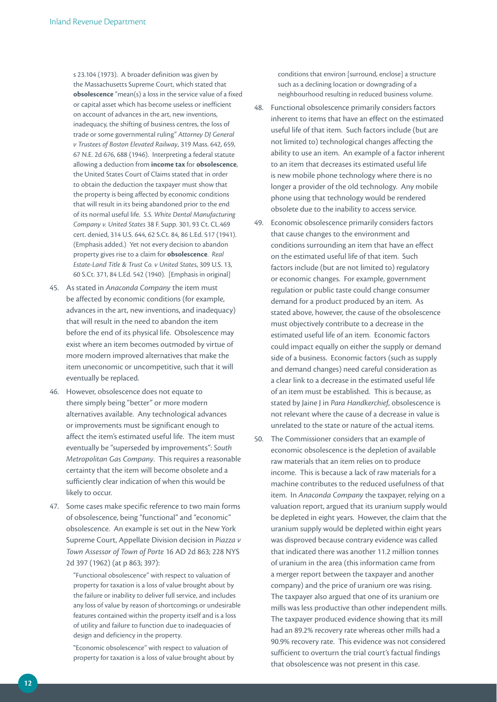s 23.104 (1973). A broader definition was given by the Massachusetts Supreme Court, which stated that **obsolescence** "mean(s) a loss in the service value of a fixed or capital asset which has become useless or inefficient on account of advances in the art, new inventions, inadequacy, the shifting of business centres, the loss of trade or some governmental ruling" *Attorney DJ General v Trustees of Boston Elevated Railway*, 319 Mass. 642, 659, 67 N.E. 2d 676, 688 (1946). Interpreting a federal statute allowing a deduction from **income tax** for **obsolescence**, the United States Court of Claims stated that in order to obtain the deduction the taxpayer must show that the property is being affected by economic conditions that will result in its being abandoned prior to the end of its normal useful life. *S.S. White Dental Manufacturing Company v. United States* 38 F. Supp. 301, 93 Ct. CL.469 cert. denied, 314 U.S. 644, 62 S.Ct. 84, 86 L.Ed. 517 (1941). (Emphasis added.) Yet not every decision to abandon property gives rise to a claim for **obsolescence**. *Real Estate-Land Title & Trust Co. v United States*, 309 U.S. 13, 60 S.Ct. 371, 84 L.Ed. 542 (1940). [Emphasis in original]

- 45. As stated in *Anaconda Company* the item must be affected by economic conditions (for example, advances in the art, new inventions, and inadequacy) that will result in the need to abandon the item before the end of its physical life. Obsolescence may exist where an item becomes outmoded by virtue of more modern improved alternatives that make the item uneconomic or uncompetitive, such that it will eventually be replaced.
- 46. However, obsolescence does not equate to there simply being "better" or more modern alternatives available. Any technological advances or improvements must be significant enough to affect the item's estimated useful life. The item must eventually be "superseded by improvements": *South Metropolitan Gas Company*. This requires a reasonable certainty that the item will become obsolete and a sufficiently clear indication of when this would be likely to occur.
- 47. Some cases make specific reference to two main forms of obsolescence, being "functional" and "economic" obsolescence. An example is set out in the New York Supreme Court, Appellate Division decision in *Piazza v Town Assessor of Town of Porte* 16 AD 2d 863; 228 NYS 2d 397 (1962) (at p 863; 397):

"Functional obsolescence" with respect to valuation of property for taxation is a loss of value brought about by the failure or inability to deliver full service, and includes any loss of value by reason of shortcomings or undesirable features contained within the property itself and is a loss of utility and failure to function due to inadequacies of design and deficiency in the property.

"Economic obsolescence" with respect to valuation of property for taxation is a loss of value brought about by conditions that environ [surround, enclose] a structure such as a declining location or downgrading of a neighbourhood resulting in reduced business volume.

- 48. Functional obsolescence primarily considers factors inherent to items that have an effect on the estimated useful life of that item. Such factors include (but are not limited to) technological changes affecting the ability to use an item. An example of a factor inherent to an item that decreases its estimated useful life is new mobile phone technology where there is no longer a provider of the old technology. Any mobile phone using that technology would be rendered obsolete due to the inability to access service.
- 49. Economic obsolescence primarily considers factors that cause changes to the environment and conditions surrounding an item that have an effect on the estimated useful life of that item. Such factors include (but are not limited to) regulatory or economic changes. For example, government regulation or public taste could change consumer demand for a product produced by an item. As stated above, however, the cause of the obsolescence must objectively contribute to a decrease in the estimated useful life of an item. Economic factors could impact equally on either the supply or demand side of a business. Economic factors (such as supply and demand changes) need careful consideration as a clear link to a decrease in the estimated useful life of an item must be established. This is because, as stated by Jaine J in *Para Handkerchief*, obsolescence is not relevant where the cause of a decrease in value is unrelated to the state or nature of the actual items.
- 50. The Commissioner considers that an example of economic obsolescence is the depletion of available raw materials that an item relies on to produce income. This is because a lack of raw materials for a machine contributes to the reduced usefulness of that item. In *Anaconda Company* the taxpayer, relying on a valuation report, argued that its uranium supply would be depleted in eight years. However, the claim that the uranium supply would be depleted within eight years was disproved because contrary evidence was called that indicated there was another 11.2 million tonnes of uranium in the area (this information came from a merger report between the taxpayer and another company) and the price of uranium ore was rising. The taxpayer also argued that one of its uranium ore mills was less productive than other independent mills. The taxpayer produced evidence showing that its mill had an 89.2% recovery rate whereas other mills had a 90.9% recovery rate. This evidence was not considered sufficient to overturn the trial court's factual findings that obsolescence was not present in this case.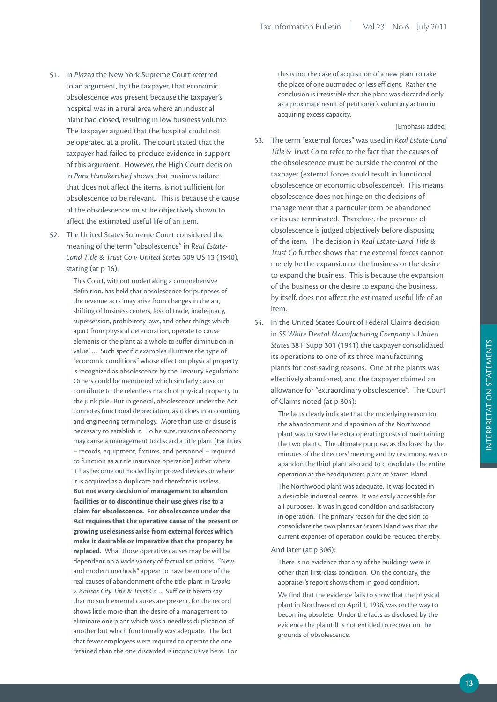- 51. In *Piazza* the New York Supreme Court referred to an argument, by the taxpayer, that economic obsolescence was present because the taxpayer's hospital was in a rural area where an industrial plant had closed, resulting in low business volume. The taxpayer argued that the hospital could not be operated at a profit. The court stated that the taxpayer had failed to produce evidence in support of this argument. However, the High Court decision in *Para Handkerchief* shows that business failure that does not affect the items, is not sufficient for obsolescence to be relevant. This is because the cause of the obsolescence must be objectively shown to affect the estimated useful life of an item.
- 52. The United States Supreme Court considered the meaning of the term "obsolescence" in *Real Estate-Land Title & Trust Co v United States* 309 US 13 (1940), stating (at p 16):

This Court, without undertaking a comprehensive definition, has held that obsolescence for purposes of the revenue acts 'may arise from changes in the art, shifting of business centers, loss of trade, inadequacy, supersession, prohibitory laws, and other things which, apart from physical deterioration, operate to cause elements or the plant as a whole to suffer diminution in value' … Such specific examples illustrate the type of "economic conditions" whose effect on physical property is recognized as obsolescence by the Treasury Regulations. Others could be mentioned which similarly cause or contribute to the relentless march of physical property to the junk pile. But in general, obsolescence under the Act connotes functional depreciation, as it does in accounting and engineering terminology. More than use or disuse is necessary to establish it. To be sure, reasons of economy may cause a management to discard a title plant [Facilities – records, equipment, fixtures, and personnel – required to function as a title insurance operation] either where it has become outmoded by improved devices or where it is acquired as a duplicate and therefore is useless. **But not every decision of management to abandon facilities or to discontinue their use gives rise to a claim for obsolescence. For obsolescence under the Act requires that the operative cause of the present or growing uselessness arise from external forces which make it desirable or imperative that the property be replaced.** What those operative causes may be will be dependent on a wide variety of factual situations. "New and modern methods" appear to have been one of the real causes of abandonment of the title plant in *Crooks v. Kansas City Title & Trust Co* … Suffice it hereto say that no such external causes are present, for the record shows little more than the desire of a management to eliminate one plant which was a needless duplication of another but which functionally was adequate. The fact that fewer employees were required to operate the one retained than the one discarded is inconclusive here. For

this is not the case of acquisition of a new plant to take the place of one outmoded or less efficient. Rather the conclusion is irresistible that the plant was discarded only as a proximate result of petitioner's voluntary action in acquiring excess capacity.

[Emphasis added]

- 53. The term "external forces" was used in *Real Estate-Land Title & Trust Co* to refer to the fact that the causes of the obsolescence must be outside the control of the taxpayer (external forces could result in functional obsolescence or economic obsolescence). This means obsolescence does not hinge on the decisions of management that a particular item be abandoned or its use terminated. Therefore, the presence of obsolescence is judged objectively before disposing of the item. The decision in *Real Estate-Land Title & Trust Co* further shows that the external forces cannot merely be the expansion of the business or the desire to expand the business. This is because the expansion of the business or the desire to expand the business, by itself, does not affect the estimated useful life of an item.
- 54. In the United States Court of Federal Claims decision in *SS White Dental Manufacturing Company v United States* 38 F Supp 301 (1941) the taxpayer consolidated its operations to one of its three manufacturing plants for cost-saving reasons. One of the plants was effectively abandoned, and the taxpayer claimed an allowance for "extraordinary obsolescence". The Court of Claims noted (at p 304):

The facts clearly indicate that the underlying reason for the abandonment and disposition of the Northwood plant was to save the extra operating costs of maintaining the two plants. The ultimate purpose, as disclosed by the minutes of the directors' meeting and by testimony, was to abandon the third plant also and to consolidate the entire operation at the headquarters plant at Staten Island.

The Northwood plant was adequate. It was located in a desirable industrial centre. It was easily accessible for all purposes. It was in good condition and satisfactory in operation. The primary reason for the decision to consolidate the two plants at Staten Island was that the current expenses of operation could be reduced thereby.

#### And later (at p 306):

There is no evidence that any of the buildings were in other than first-class condition. On the contrary, the appraiser's report shows them in good condition.

We find that the evidence fails to show that the physical plant in Northwood on April 1, 1936, was on the way to becoming obsolete. Under the facts as disclosed by the evidence the plaintiff is not entitled to recover on the grounds of obsolescence.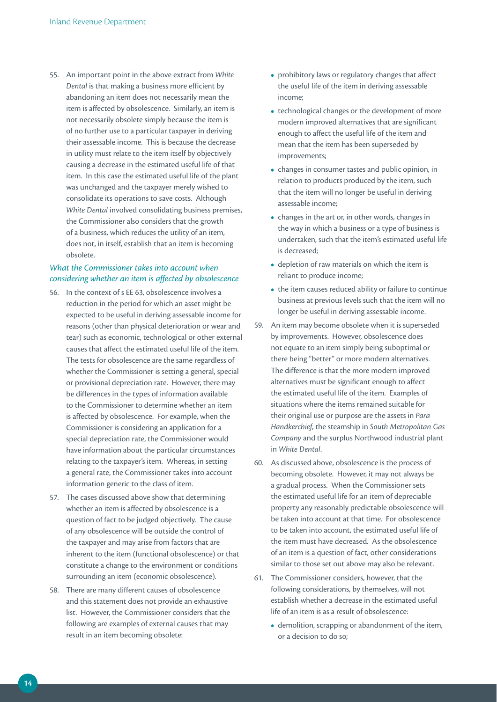55. An important point in the above extract from *White Dental* is that making a business more efficient by abandoning an item does not necessarily mean the item is affected by obsolescence. Similarly, an item is not necessarily obsolete simply because the item is of no further use to a particular taxpayer in deriving their assessable income. This is because the decrease in utility must relate to the item itself by objectively causing a decrease in the estimated useful life of that item. In this case the estimated useful life of the plant was unchanged and the taxpayer merely wished to consolidate its operations to save costs. Although *White Dental* involved consolidating business premises, the Commissioner also considers that the growth of a business, which reduces the utility of an item, does not, in itself, establish that an item is becoming obsolete.

### *What the Commissioner takes into account when considering whether an item is affected by obsolescence*

- 56. In the context of s EE 63, obsolescence involves a reduction in the period for which an asset might be expected to be useful in deriving assessable income for reasons (other than physical deterioration or wear and tear) such as economic, technological or other external causes that affect the estimated useful life of the item. The tests for obsolescence are the same regardless of whether the Commissioner is setting a general, special or provisional depreciation rate. However, there may be differences in the types of information available to the Commissioner to determine whether an item is affected by obsolescence. For example, when the Commissioner is considering an application for a special depreciation rate, the Commissioner would have information about the particular circumstances relating to the taxpayer's item. Whereas, in setting a general rate, the Commissioner takes into account information generic to the class of item.
- 57. The cases discussed above show that determining whether an item is affected by obsolescence is a question of fact to be judged objectively. The cause of any obsolescence will be outside the control of the taxpayer and may arise from factors that are inherent to the item (functional obsolescence) or that constitute a change to the environment or conditions surrounding an item (economic obsolescence).
- 58. There are many different causes of obsolescence and this statement does not provide an exhaustive list. However, the Commissioner considers that the following are examples of external causes that may result in an item becoming obsolete:
- prohibitory laws or regulatory changes that affect the useful life of the item in deriving assessable income;
- technological changes or the development of more modern improved alternatives that are significant enough to affect the useful life of the item and mean that the item has been superseded by improvements;
- **•**  changes in consumer tastes and public opinion, in relation to products produced by the item, such that the item will no longer be useful in deriving assessable income;
- changes in the art or, in other words, changes in the way in which a business or a type of business is undertaken, such that the item's estimated useful life is decreased;
- depletion of raw materials on which the item is reliant to produce income;
- the item causes reduced ability or failure to continue business at previous levels such that the item will no longer be useful in deriving assessable income.
- 59. An item may become obsolete when it is superseded by improvements. However, obsolescence does not equate to an item simply being suboptimal or there being "better" or more modern alternatives. The difference is that the more modern improved alternatives must be significant enough to affect the estimated useful life of the item. Examples of situations where the items remained suitable for their original use or purpose are the assets in *Para Handkerchief*, the steamship in *South Metropolitan Gas Company* and the surplus Northwood industrial plant in *White Dental*.
- 60. As discussed above, obsolescence is the process of becoming obsolete. However, it may not always be a gradual process. When the Commissioner sets the estimated useful life for an item of depreciable property any reasonably predictable obsolescence will be taken into account at that time. For obsolescence to be taken into account, the estimated useful life of the item must have decreased. As the obsolescence of an item is a question of fact, other considerations similar to those set out above may also be relevant.
- 61. The Commissioner considers, however, that the following considerations, by themselves, will not establish whether a decrease in the estimated useful life of an item is as a result of obsolescence:
	- **•**  demolition, scrapping or abandonment of the item, or a decision to do so;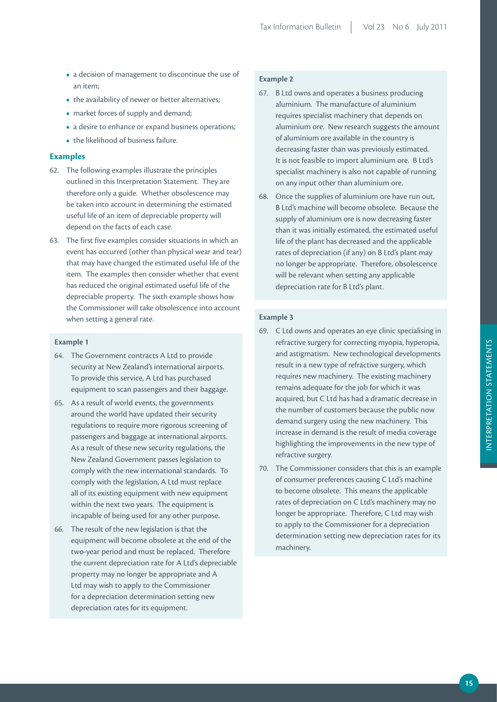- **•**  a decision of management to discontinue the use of an item;
- the availability of newer or better alternatives:
- market forces of supply and demand;
- a desire to enhance or expand business operations;
- **•**  the likelihood of business failure.

### **Examples**

- 62. The following examples illustrate the principles outlined in this Interpretation Statement. They are therefore only a guide. Whether obsolescence may be taken into account in determining the estimated useful life of an item of depreciable property will depend on the facts of each case.
- 63. The first five examples consider situations in which an event has occurred (other than physical wear and tear) that may have changed the estimated useful life of the item. The examples then consider whether that event has reduced the original estimated useful life of the depreciable property. The sixth example shows how the Commissioner will take obsolescence into account when setting a general rate.

### **Example 1**

- 64. The Government contracts A Ltd to provide security at New Zealand's international airports. To provide this service, A Ltd has purchased equipment to scan passengers and their baggage.
- 65. As a result of world events, the governments around the world have updated their security regulations to require more rigorous screening of passengers and baggage at international airports. As a result of these new security regulations, the New Zealand Government passes legislation to comply with the new international standards. To comply with the legislation, A Ltd must replace all of its existing equipment with new equipment within the next two years. The equipment is incapable of being used for any other purpose.
- 66. The result of the new legislation is that the equipment will become obsolete at the end of the two-year period and must be replaced. Therefore the current depreciation rate for A Ltd's depreciable property may no longer be appropriate and A Ltd may wish to apply to the Commissioner for a depreciation determination setting new depreciation rates for its equipment.

### **Example 2**

- 67. B Ltd owns and operates a business producing aluminium. The manufacture of aluminium requires specialist machinery that depends on aluminium ore. New research suggests the amount of aluminium ore available in the country is decreasing faster than was previously estimated. It is not feasible to import aluminium ore. B Ltd's specialist machinery is also not capable of running on any input other than aluminium ore.
- 68. Once the supplies of aluminium ore have run out, B Ltd's machine will become obsolete. Because the supply of aluminium ore is now decreasing faster than it was initially estimated, the estimated useful life of the plant has decreased and the applicable rates of depreciation (if any) on B Ltd's plant may no longer be appropriate. Therefore, obsolescence will be relevant when setting any applicable depreciation rate for B Ltd's plant.

#### **Example 3**

- 69. C Ltd owns and operates an eye clinic specialising in refractive surgery for correcting myopia, hyperopia, and astigmatism. New technological developments result in a new type of refractive surgery, which requires new machinery. The existing machinery remains adequate for the job for which it was acquired, but C Ltd has had a dramatic decrease in the number of customers because the public now demand surgery using the new machinery. This increase in demand is the result of media coverage highlighting the improvements in the new type of refractive surgery.
- 70. The Commissioner considers that this is an example of consumer preferences causing C Ltd's machine to become obsolete. This means the applicable rates of depreciation on C Ltd's machinery may no longer be appropriate. Therefore, C Ltd may wish to apply to the Commissioner for a depreciation determination setting new depreciation rates for its machinery.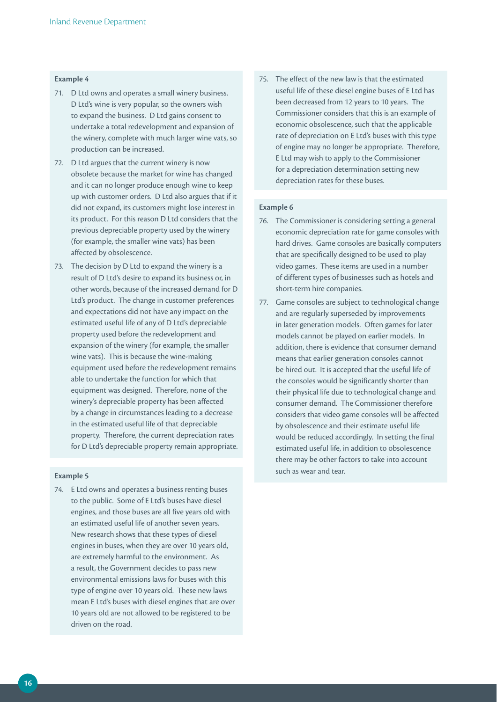#### **Example 4**

- 71. D Ltd owns and operates a small winery business. D Ltd's wine is very popular, so the owners wish to expand the business. D Ltd gains consent to undertake a total redevelopment and expansion of the winery, complete with much larger wine vats, so production can be increased.
- 72. D Ltd argues that the current winery is now obsolete because the market for wine has changed and it can no longer produce enough wine to keep up with customer orders. D Ltd also argues that if it did not expand, its customers might lose interest in its product. For this reason D Ltd considers that the previous depreciable property used by the winery (for example, the smaller wine vats) has been affected by obsolescence.
- 73. The decision by D Ltd to expand the winery is a result of D Ltd's desire to expand its business or, in other words, because of the increased demand for D Ltd's product. The change in customer preferences and expectations did not have any impact on the estimated useful life of any of D Ltd's depreciable property used before the redevelopment and expansion of the winery (for example, the smaller wine vats). This is because the wine-making equipment used before the redevelopment remains able to undertake the function for which that equipment was designed. Therefore, none of the winery's depreciable property has been affected by a change in circumstances leading to a decrease in the estimated useful life of that depreciable property. Therefore, the current depreciation rates for D Ltd's depreciable property remain appropriate.

#### **Example 5**

74. E Ltd owns and operates a business renting buses to the public. Some of E Ltd's buses have diesel engines, and those buses are all five years old with an estimated useful life of another seven years. New research shows that these types of diesel engines in buses, when they are over 10 years old, are extremely harmful to the environment. As a result, the Government decides to pass new environmental emissions laws for buses with this type of engine over 10 years old. These new laws mean E Ltd's buses with diesel engines that are over 10 years old are not allowed to be registered to be driven on the road.

75. The effect of the new law is that the estimated useful life of these diesel engine buses of E Ltd has been decreased from 12 years to 10 years. The Commissioner considers that this is an example of economic obsolescence, such that the applicable rate of depreciation on E Ltd's buses with this type of engine may no longer be appropriate. Therefore, E Ltd may wish to apply to the Commissioner for a depreciation determination setting new depreciation rates for these buses.

#### **Example 6**

- 76. The Commissioner is considering setting a general economic depreciation rate for game consoles with hard drives. Game consoles are basically computers that are specifically designed to be used to play video games. These items are used in a number of different types of businesses such as hotels and short-term hire companies.
- 77. Game consoles are subject to technological change and are regularly superseded by improvements in later generation models. Often games for later models cannot be played on earlier models. In addition, there is evidence that consumer demand means that earlier generation consoles cannot be hired out. It is accepted that the useful life of the consoles would be significantly shorter than their physical life due to technological change and consumer demand. The Commissioner therefore considers that video game consoles will be affected by obsolescence and their estimate useful life would be reduced accordingly. In setting the final estimated useful life, in addition to obsolescence there may be other factors to take into account such as wear and tear.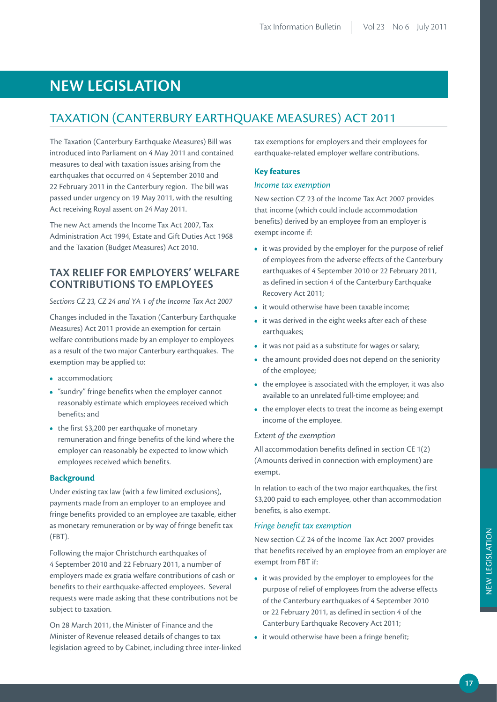# **NEW LEGISLATION**

### TAXATION (CANTERBURY EARTHQUAKE MEASURES) ACT 2011

The Taxation (Canterbury Earthquake Measures) Bill was introduced into Parliament on 4 May 2011 and contained measures to deal with taxation issues arising from the earthquakes that occurred on 4 September 2010 and 22 February 2011 in the Canterbury region. The bill was passed under urgency on 19 May 2011, with the resulting Act receiving Royal assent on 24 May 2011.

The new Act amends the Income Tax Act 2007, Tax Administration Act 1994, Estate and Gift Duties Act 1968 and the Taxation (Budget Measures) Act 2010.

### **TAX RELIEF FOR EMPLOYERS' WELFARE CONTRIBUTIONS TO EMPLOYEES**

*Sections CZ 23, CZ 24 and YA 1 of the Income Tax Act 2007*

Changes included in the Taxation (Canterbury Earthquake Measures) Act 2011 provide an exemption for certain welfare contributions made by an employer to employees as a result of the two major Canterbury earthquakes. The exemption may be applied to:

- **•**  accommodation;
- **•**  "sundry" fringe benefits when the employer cannot reasonably estimate which employees received which benefits; and
- the first \$3,200 per earthquake of monetary remuneration and fringe benefits of the kind where the employer can reasonably be expected to know which employees received which benefits.

### **Background**

Under existing tax law (with a few limited exclusions), payments made from an employer to an employee and fringe benefits provided to an employee are taxable, either as monetary remuneration or by way of fringe benefit tax (FBT).

Following the major Christchurch earthquakes of 4 September 2010 and 22 February 2011, a number of employers made ex gratia welfare contributions of cash or benefits to their earthquake-affected employees. Several requests were made asking that these contributions not be subject to taxation.

On 28 March 2011, the Minister of Finance and the Minister of Revenue released details of changes to tax legislation agreed to by Cabinet, including three inter-linked tax exemptions for employers and their employees for earthquake-related employer welfare contributions.

### **Key features**

#### *Income tax exemption*

New section CZ 23 of the Income Tax Act 2007 provides that income (which could include accommodation benefits) derived by an employee from an employer is exempt income if:

- it was provided by the employer for the purpose of relief of employees from the adverse effects of the Canterbury earthquakes of 4 September 2010 or 22 February 2011, as defined in section 4 of the Canterbury Earthquake Recovery Act 2011;
- it would otherwise have been taxable income:
- it was derived in the eight weeks after each of these earthquakes;
- **•**  it was not paid as a substitute for wages or salary;
- the amount provided does not depend on the seniority of the employee;
- the employee is associated with the employer, it was also available to an unrelated full-time employee; and
- the employer elects to treat the income as being exempt income of the employee.

### *Extent of the exemption*

All accommodation benefits defined in section CE 1(2) (Amounts derived in connection with employment) are exempt.

In relation to each of the two major earthquakes, the first \$3,200 paid to each employee, other than accommodation benefits, is also exempt.

### *Fringe benefit tax exemption*

New section CZ 24 of the Income Tax Act 2007 provides that benefits received by an employee from an employer are exempt from FBT if:

- **•**  it was provided by the employer to employees for the purpose of relief of employees from the adverse effects of the Canterbury earthquakes of 4 September 2010 or 22 February 2011, as defined in section 4 of the Canterbury Earthquake Recovery Act 2011;
- it would otherwise have been a fringe benefit;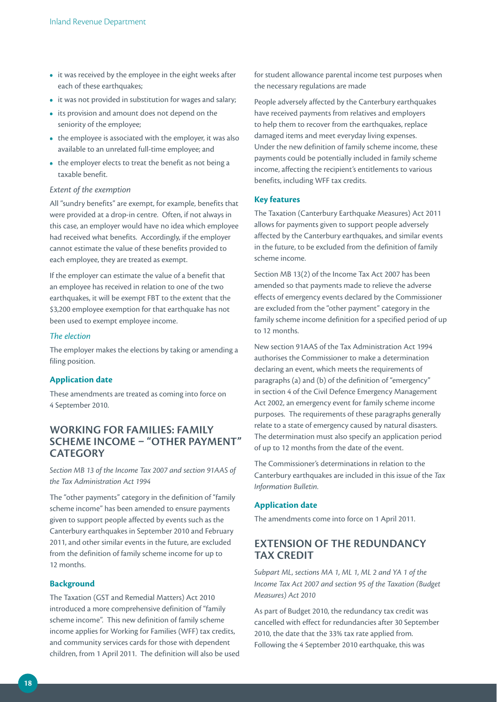- it was received by the employee in the eight weeks after each of these earthquakes;
- it was not provided in substitution for wages and salary;
- its provision and amount does not depend on the seniority of the employee;
- the employee is associated with the employer, it was also available to an unrelated full-time employee; and
- the employer elects to treat the benefit as not being a taxable benefit.

#### *Extent of the exemption*

All "sundry benefits" are exempt, for example, benefits that were provided at a drop-in centre. Often, if not always in this case, an employer would have no idea which employee had received what benefits. Accordingly, if the employer cannot estimate the value of these benefits provided to each employee, they are treated as exempt.

If the employer can estimate the value of a benefit that an employee has received in relation to one of the two earthquakes, it will be exempt FBT to the extent that the \$3,200 employee exemption for that earthquake has not been used to exempt employee income.

### *The election*

The employer makes the elections by taking or amending a filing position.

### **Application date**

These amendments are treated as coming into force on 4 September 2010.

### **WORKING FOR FAMILIES: FAMILY SCHEME INCOME – "OTHER PAYMENT" CATEGORY**

*Section MB 13 of the Income Tax 2007 and section 91AAS of the Tax Administration Act 1994*

The "other payments" category in the definition of "family scheme income" has been amended to ensure payments given to support people affected by events such as the Canterbury earthquakes in September 2010 and February 2011, and other similar events in the future, are excluded from the definition of family scheme income for up to 12 months.

### **Background**

The Taxation (GST and Remedial Matters) Act 2010 introduced a more comprehensive definition of "family scheme income". This new definition of family scheme income applies for Working for Families (WFF) tax credits, and community services cards for those with dependent children, from 1 April 2011. The definition will also be used

for student allowance parental income test purposes when the necessary regulations are made

People adversely affected by the Canterbury earthquakes have received payments from relatives and employers to help them to recover from the earthquakes, replace damaged items and meet everyday living expenses. Under the new definition of family scheme income, these payments could be potentially included in family scheme income, affecting the recipient's entitlements to various benefits, including WFF tax credits.

### **Key features**

The Taxation (Canterbury Earthquake Measures) Act 2011 allows for payments given to support people adversely affected by the Canterbury earthquakes, and similar events in the future, to be excluded from the definition of family scheme income.

Section MB 13(2) of the Income Tax Act 2007 has been amended so that payments made to relieve the adverse effects of emergency events declared by the Commissioner are excluded from the "other payment" category in the family scheme income definition for a specified period of up to 12 months.

New section 91AAS of the Tax Administration Act 1994 authorises the Commissioner to make a determination declaring an event, which meets the requirements of paragraphs (a) and (b) of the definition of "emergency" in section 4 of the Civil Defence Emergency Management Act 2002, an emergency event for family scheme income purposes. The requirements of these paragraphs generally relate to a state of emergency caused by natural disasters. The determination must also specify an application period of up to 12 months from the date of the event.

The Commissioner's determinations in relation to the Canterbury earthquakes are included in this issue of the *Tax Information Bulletin*.

### **Application date**

The amendments come into force on 1 April 2011.

### **EXTENSION OF THE REDUNDANCY TAX CREDIT**

*Subpart ML, sections MA 1, ML 1, ML 2 and YA 1 of the Income Tax Act 2007 and section 95 of the Taxation (Budget Measures) Act 2010*

As part of Budget 2010, the redundancy tax credit was cancelled with effect for redundancies after 30 September 2010, the date that the 33% tax rate applied from. Following the 4 September 2010 earthquake, this was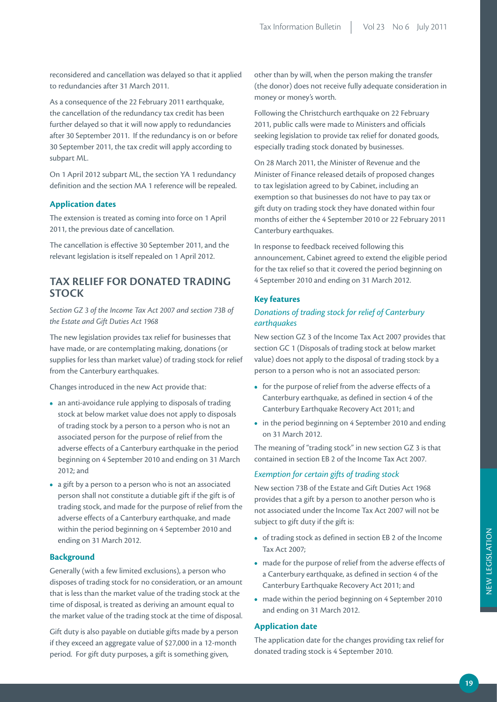reconsidered and cancellation was delayed so that it applied to redundancies after 31 March 2011.

As a consequence of the 22 February 2011 earthquake, the cancellation of the redundancy tax credit has been further delayed so that it will now apply to redundancies after 30 September 2011. If the redundancy is on or before 30 September 2011, the tax credit will apply according to subpart ML.

On 1 April 2012 subpart ML, the section YA 1 redundancy definition and the section MA 1 reference will be repealed.

### **Application dates**

The extension is treated as coming into force on 1 April 2011, the previous date of cancellation.

The cancellation is effective 30 September 2011, and the relevant legislation is itself repealed on 1 April 2012.

### **TAX RELIEF FOR DONATED TRADING STOCK**

*Section GZ 3 of the Income Tax Act 2007 and section 73B of the Estate and Gift Duties Act 1968*

The new legislation provides tax relief for businesses that have made, or are contemplating making, donations (or supplies for less than market value) of trading stock for relief from the Canterbury earthquakes.

Changes introduced in the new Act provide that:

- **•**  an anti-avoidance rule applying to disposals of trading stock at below market value does not apply to disposals of trading stock by a person to a person who is not an associated person for the purpose of relief from the adverse effects of a Canterbury earthquake in the period beginning on 4 September 2010 and ending on 31 March 2012; and
- **•**  a gift by a person to a person who is not an associated person shall not constitute a dutiable gift if the gift is of trading stock, and made for the purpose of relief from the adverse effects of a Canterbury earthquake, and made within the period beginning on 4 September 2010 and ending on 31 March 2012.

#### **Background**

Generally (with a few limited exclusions), a person who disposes of trading stock for no consideration, or an amount that is less than the market value of the trading stock at the time of disposal, is treated as deriving an amount equal to the market value of the trading stock at the time of disposal.

Gift duty is also payable on dutiable gifts made by a person if they exceed an aggregate value of \$27,000 in a 12-month period. For gift duty purposes, a gift is something given,

other than by will, when the person making the transfer (the donor) does not receive fully adequate consideration in money or money's worth.

Following the Christchurch earthquake on 22 February 2011, public calls were made to Ministers and officials seeking legislation to provide tax relief for donated goods, especially trading stock donated by businesses.

On 28 March 2011, the Minister of Revenue and the Minister of Finance released details of proposed changes to tax legislation agreed to by Cabinet, including an exemption so that businesses do not have to pay tax or gift duty on trading stock they have donated within four months of either the 4 September 2010 or 22 February 2011 Canterbury earthquakes.

In response to feedback received following this announcement, Cabinet agreed to extend the eligible period for the tax relief so that it covered the period beginning on 4 September 2010 and ending on 31 March 2012.

### **Key features**

### *Donations of trading stock for relief of Canterbury earthquakes*

New section GZ 3 of the Income Tax Act 2007 provides that section GC 1 (Disposals of trading stock at below market value) does not apply to the disposal of trading stock by a person to a person who is not an associated person:

- **•**  for the purpose of relief from the adverse effects of a Canterbury earthquake, as defined in section 4 of the Canterbury Earthquake Recovery Act 2011; and
- **•**  in the period beginning on 4 September 2010 and ending on 31 March 2012.

The meaning of "trading stock" in new section GZ 3 is that contained in section EB 2 of the Income Tax Act 2007.

### *Exemption for certain gifts of trading stock*

New section 73B of the Estate and Gift Duties Act 1968 provides that a gift by a person to another person who is not associated under the Income Tax Act 2007 will not be subject to gift duty if the gift is:

- **•**  of trading stock as defined in section EB 2 of the Income Tax Act 2007;
- **•**  made for the purpose of relief from the adverse effects of a Canterbury earthquake, as defined in section 4 of the Canterbury Earthquake Recovery Act 2011; and
- made within the period beginning on 4 September 2010 and ending on 31 March 2012.

### **Application date**

The application date for the changes providing tax relief for donated trading stock is 4 September 2010.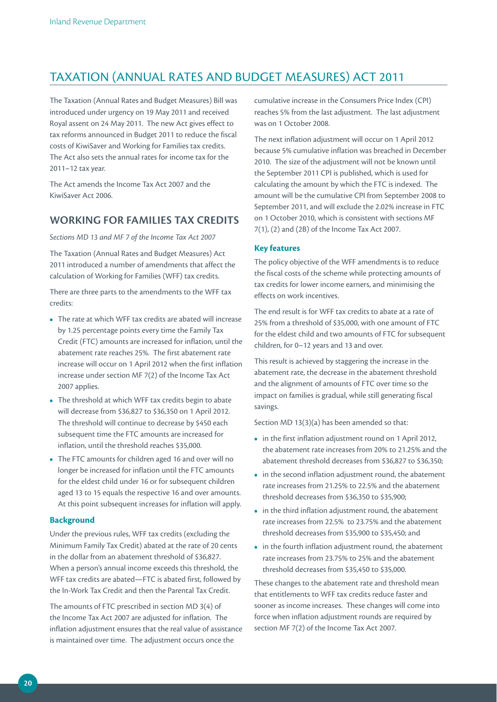### TAXATION (ANNUAL RATES AND BUDGET MEASURES) ACT 2011

The Taxation (Annual Rates and Budget Measures) Bill was introduced under urgency on 19 May 2011 and received Royal assent on 24 May 2011. The new Act gives effect to tax reforms announced in Budget 2011 to reduce the fiscal costs of KiwiSaver and Working for Families tax credits. The Act also sets the annual rates for income tax for the 2011–12 tax year.

The Act amends the Income Tax Act 2007 and the KiwiSaver Act 2006.

### **Working fo r Families tax credits**

*Sections MD 13 and MF 7 of the Income Tax Act 2007*

The Taxation (Annual Rates and Budget Measures) Act 2011 introduced a number of amendments that affect the calculation of Working for Families (WFF) tax credits.

There are three parts to the amendments to the WFF tax credits:

- The rate at which WFF tax credits are abated will increase by 1.25 percentage points every time the Family Tax Credit (FTC) amounts are increased for inflation, until the abatement rate reaches 25%. The first abatement rate increase will occur on 1 April 2012 when the first inflation increase under section MF 7(2) of the Income Tax Act 2007 applies.
- **•**  The threshold at which WFF tax credits begin to abate will decrease from \$36,827 to \$36,350 on 1 April 2012. The threshold will continue to decrease by \$450 each subsequent time the FTC amounts are increased for inflation, until the threshold reaches \$35,000.
- **•**  The FTC amounts for children aged 16 and over will no longer be increased for inflation until the FTC amounts for the eldest child under 16 or for subsequent children aged 13 to 15 equals the respective 16 and over amounts. At this point subsequent increases for inflation will apply.

### **Background**

Under the previous rules, WFF tax credits (excluding the Minimum Family Tax Credit) abated at the rate of 20 cents in the dollar from an abatement threshold of \$36,827. When a person's annual income exceeds this threshold, the WFF tax credits are abated—FTC is abated first, followed by the In-Work Tax Credit and then the Parental Tax Credit.

The amounts of FTC prescribed in section MD 3(4) of the Income Tax Act 2007 are adjusted for inflation. The inflation adjustment ensures that the real value of assistance is maintained over time. The adjustment occurs once the

cumulative increase in the Consumers Price Index (CPI) reaches 5% from the last adjustment. The last adjustment was on 1 October 2008.

The next inflation adjustment will occur on 1 April 2012 because 5% cumulative inflation was breached in December 2010. The size of the adjustment will not be known until the September 2011 CPI is published, which is used for calculating the amount by which the FTC is indexed. The amount will be the cumulative CPI from September 2008 to September 2011, and will exclude the 2.02% increase in FTC on 1 October 2010, which is consistent with sections MF 7(1), (2) and (2B) of the Income Tax Act 2007.

### **Key features**

The policy objective of the WFF amendments is to reduce the fiscal costs of the scheme while protecting amounts of tax credits for lower income earners, and minimising the effects on work incentives.

The end result is for WFF tax credits to abate at a rate of 25% from a threshold of \$35,000, with one amount of FTC for the eldest child and two amounts of FTC for subsequent children, for 0–12 years and 13 and over.

This result is achieved by staggering the increase in the abatement rate, the decrease in the abatement threshold and the alignment of amounts of FTC over time so the impact on families is gradual, while still generating fiscal savings.

Section MD 13(3)(a) has been amended so that:

- **•**  in the first inflation adjustment round on 1 April 2012, the abatement rate increases from 20% to 21.25% and the abatement threshold decreases from \$36,827 to \$36,350;
- in the second inflation adjustment round, the abatement rate increases from 21.25% to 22.5% and the abatement threshold decreases from \$36,350 to \$35,900;
- **•**  in the third inflation adjustment round, the abatement rate increases from 22.5% to 23.75% and the abatement threshold decreases from \$35,900 to \$35,450; and
- **•**  in the fourth inflation adjustment round, the abatement rate increases from 23.75% to 25% and the abatement threshold decreases from \$35,450 to \$35,000.

These changes to the abatement rate and threshold mean that entitlements to WFF tax credits reduce faster and sooner as income increases. These changes will come into force when inflation adjustment rounds are required by section MF 7(2) of the Income Tax Act 2007.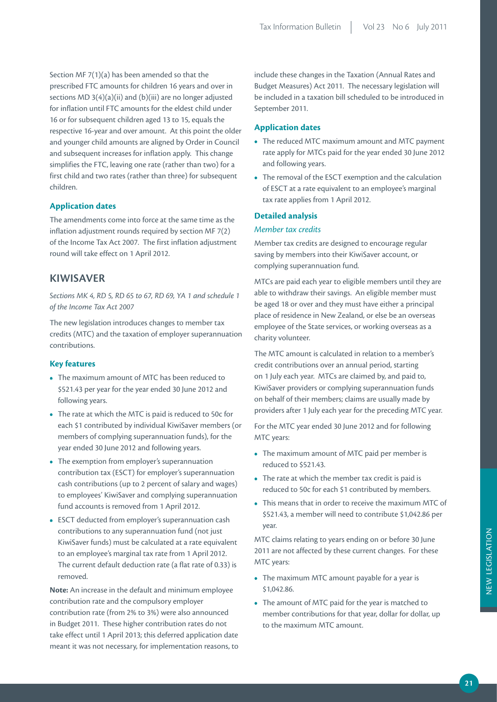Section MF 7(1)(a) has been amended so that the prescribed FTC amounts for children 16 years and over in sections MD  $3(4)(a)(ii)$  and (b)(iii) are no longer adjusted for inflation until FTC amounts for the eldest child under 16 or for subsequent children aged 13 to 15, equals the respective 16-year and over amount. At this point the older and younger child amounts are aligned by Order in Council and subsequent increases for inflation apply. This change simplifies the FTC, leaving one rate (rather than two) for a first child and two rates (rather than three) for subsequent children.

### **Application dates**

The amendments come into force at the same time as the inflation adjustment rounds required by section MF 7(2) of the Income Tax Act 2007. The first inflation adjustment round will take effect on 1 April 2012.

### **KIWISAVER**

*Sections MK 4, RD 5, RD 65 to 67, RD 69, YA 1 and schedule 1 of the Income Tax Act 2007*

The new legislation introduces changes to member tax credits (MTC) and the taxation of employer superannuation contributions.

### **Key features**

- The maximum amount of MTC has been reduced to \$521.43 per year for the year ended 30 June 2012 and following years.
- **•**  The rate at which the MTC is paid is reduced to 50c for each \$1 contributed by individual KiwiSaver members (or members of complying superannuation funds), for the year ended 30 June 2012 and following years.
- The exemption from employer's superannuation contribution tax (ESCT) for employer's superannuation cash contributions (up to 2 percent of salary and wages) to employees' KiwiSaver and complying superannuation fund accounts is removed from 1 April 2012.
- **•**  ESCT deducted from employer's superannuation cash contributions to any superannuation fund (not just KiwiSaver funds) must be calculated at a rate equivalent to an employee's marginal tax rate from 1 April 2012. The current default deduction rate (a flat rate of 0.33) is removed.

**Note:** An increase in the default and minimum employee contribution rate and the compulsory employer contribution rate (from 2% to 3%) were also announced in Budget 2011. These higher contribution rates do not take effect until 1 April 2013; this deferred application date meant it was not necessary, for implementation reasons, to

include these changes in the Taxation (Annual Rates and Budget Measures) Act 2011. The necessary legislation will be included in a taxation bill scheduled to be introduced in September 2011.

### **Application dates**

- **•**  The reduced MTC maximum amount and MTC payment rate apply for MTCs paid for the year ended 30 June 2012 and following years.
- **•**  The removal of the ESCT exemption and the calculation of ESCT at a rate equivalent to an employee's marginal tax rate applies from 1 April 2012.

### **Detailed analysis**

### *Member tax credits*

Member tax credits are designed to encourage regular saving by members into their KiwiSaver account, or complying superannuation fund.

MTCs are paid each year to eligible members until they are able to withdraw their savings. An eligible member must be aged 18 or over and they must have either a principal place of residence in New Zealand, or else be an overseas employee of the State services, or working overseas as a charity volunteer.

The MTC amount is calculated in relation to a member's credit contributions over an annual period, starting on 1 July each year. MTCs are claimed by, and paid to, KiwiSaver providers or complying superannuation funds on behalf of their members; claims are usually made by providers after 1 July each year for the preceding MTC year.

For the MTC year ended 30 June 2012 and for following MTC years:

- The maximum amount of MTC paid per member is reduced to \$521.43.
- **•**  The rate at which the member tax credit is paid is reduced to 50c for each \$1 contributed by members.
- **•**  This means that in order to receive the maximum MTC of \$521.43, a member will need to contribute \$1,042.86 per year.

MTC claims relating to years ending on or before 30 June 2011 are not affected by these current changes. For these MTC years:

- The maximum MTC amount payable for a year is \$1,042.86.
- The amount of MTC paid for the year is matched to member contributions for that year, dollar for dollar, up to the maximum MTC amount.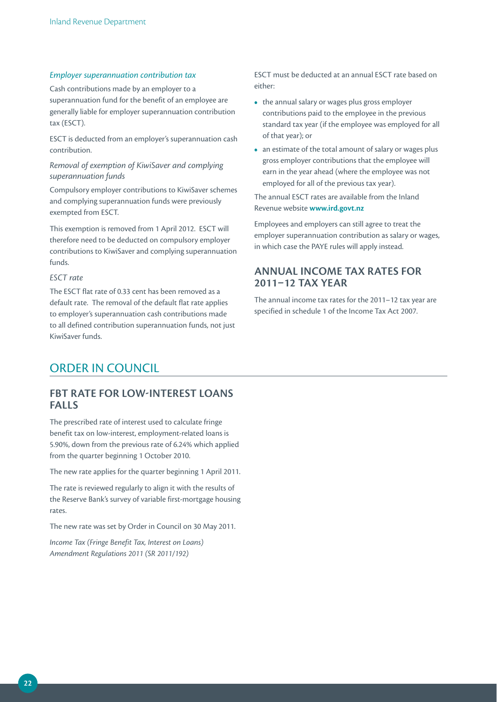### *Employer superannuation contribution tax*

Cash contributions made by an employer to a superannuation fund for the benefit of an employee are generally liable for employer superannuation contribution tax (ESCT).

ESCT is deducted from an employer's superannuation cash contribution.

### *Removal of exemption of KiwiSaver and complying superannuation funds*

Compulsory employer contributions to KiwiSaver schemes and complying superannuation funds were previously exempted from ESCT.

This exemption is removed from 1 April 2012. ESCT will therefore need to be deducted on compulsory employer contributions to KiwiSaver and complying superannuation funds.

### *ESCT rate*

The ESCT flat rate of 0.33 cent has been removed as a default rate. The removal of the default flat rate applies to employer's superannuation cash contributions made to all defined contribution superannuation funds, not just KiwiSaver funds.

ESCT must be deducted at an annual ESCT rate based on either:

- the annual salary or wages plus gross employer contributions paid to the employee in the previous standard tax year (if the employee was employed for all of that year); or
- an estimate of the total amount of salary or wages plus gross employer contributions that the employee will earn in the year ahead (where the employee was not employed for all of the previous tax year).

The annual ESCT rates are available from the Inland Revenue website **www.ird.govt.nz**

Employees and employers can still agree to treat the employer superannuation contribution as salary or wages, in which case the PAYE rules will apply instead.

### **ANNUAL INCOME TAX RATES FOR 2011–12 TAX YEAR**

The annual income tax rates for the 2011–12 tax year are specified in schedule 1 of the Income Tax Act 2007.

### ORDER IN COUNCIL

### **FBT RATE FOR LOW-INTEREST LOANS FALLS**

The prescribed rate of interest used to calculate fringe benefit tax on low-interest, employment-related loans is 5.90%, down from the previous rate of 6.24% which applied from the quarter beginning 1 October 2010.

The new rate applies for the quarter beginning 1 April 2011.

The rate is reviewed regularly to align it with the results of the Reserve Bank's survey of variable first-mortgage housing rates.

The new rate was set by Order in Council on 30 May 2011.

*Income Tax (Fringe Benefit Tax, Interest on Loans) Amendment Regulations 2011 (SR 2011/192)*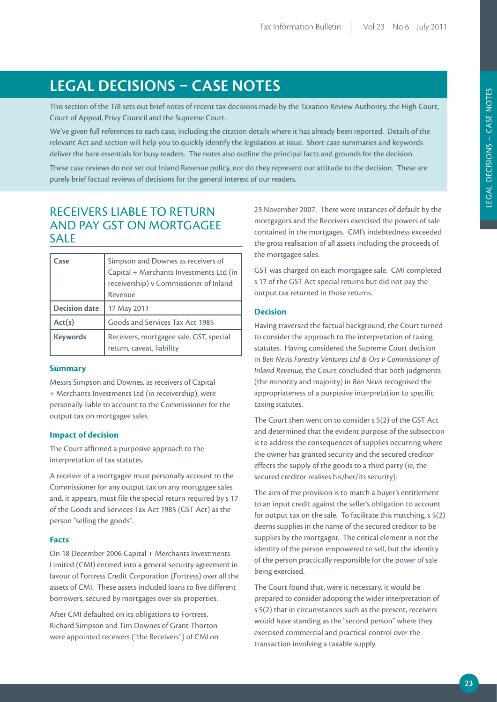# **LEGAL DECISIONS – CASE NOTES**

This section of the *TIB* sets out brief notes of recent tax decisions made by the Taxation Review Authority, the High Court, Court of Appeal, Privy Council and the Supreme Court.

We've given full references to each case, including the citation details where it has already been reported. Details of the relevant Act and section will help you to quickly identify the legislation at issue. Short case summaries and keywords deliver the bare essentials for busy readers. The notes also outline the principal facts and grounds for the decision.

These case reviews do not set out Inland Revenue policy, nor do they represent our attitude to the decision. These are purely brief factual reviews of decisions for the general interest of our readers.

### RECEIVERS LIABLE TO RETURN AND PAY GST ON MORTGAGFF **SALE**

| Case                 | Simpson and Downes as receivers of<br>Capital + Merchants Investments Ltd (in<br>receivership) v Commissioner of Inland<br>Revenue |
|----------------------|------------------------------------------------------------------------------------------------------------------------------------|
| <b>Decision date</b> | 17 May 2011                                                                                                                        |
| Act(s)               | Goods and Services Tax Act 1985                                                                                                    |
| <b>Keywords</b>      | Receivers, mortgagee sale, GST, special<br>return, caveat, liability                                                               |

### **Summary**

Messrs Simpson and Downes, as receivers of Capital + Merchants Investments Ltd (in receivership), were personally liable to account to the Commissioner for the output tax on mortgagee sales.

### **Impact of decision**

The Court affirmed a purposive approach to the interpretation of tax statutes.

A receiver of a mortgagee must personally account to the Commissioner for any output tax on any mortgagee sales and, it appears, must file the special return required by s 17 of the Goods and Services Tax Act 1985 (GST Act) as the person "selling the goods".

### **Facts**

On 18 December 2006 Capital + Merchants Investments Limited (CMI) entered into a general security agreement in favour of Fortress Credit Corporation (Fortress) over all the assets of CMI. These assets included loans to five different borrowers, secured by mortgages over six properties.

After CMI defaulted on its obligations to Fortress, Richard Simpson and Tim Downes of Grant Thorton were appointed receivers ("the Receivers") of CMI on 23 November 2007. There were instances of default by the mortgagors and the Receivers exercised the powers of sale contained in the mortgages. CMI's indebtedness exceeded the gross realisation of all assets including the proceeds of the mortgagee sales.

GST was charged on each mortgagee sale. CMI completed s 17 of the GST Act special returns but did not pay the output tax returned in those returns.

### **Decision**

Having traversed the factual background, the Court turned to consider the approach to the interpretation of taxing statutes. Having considered the Supreme Court decision in *Ben Nevis Forestry Ventures Ltd & Ors v Commissioner of Inland Revenue*, the Court concluded that both judgments (the minority and majority) in *Ben Nevis* recognised the appropriateness of a purposive interpretation to specific taxing statutes.

The Court then went on to consider s 5(2) of the GST Act and determined that the evident purpose of the subsection is to address the consequences of supplies occurring where the owner has granted security and the secured creditor effects the supply of the goods to a third party (ie, the secured creditor realises his/her/its security).

The aim of the provision is to match a buyer's entitlement to an input credit against the seller's obligation to account for output tax on the sale. To facilitate this matching, s 5(2) deems supplies in the name of the secured creditor to be supplies by the mortgagor. The critical element is not the identity of the person empowered to sell, but the identity of the person practically responsible for the power of sale being exercised.

The Court found that, were it necessary, it would be prepared to consider adopting the wider interpretation of s 5(2) that in circumstances such as the present, receivers would have standing as the "second person" where they exercised commercial and practical control over the transaction involving a taxable supply.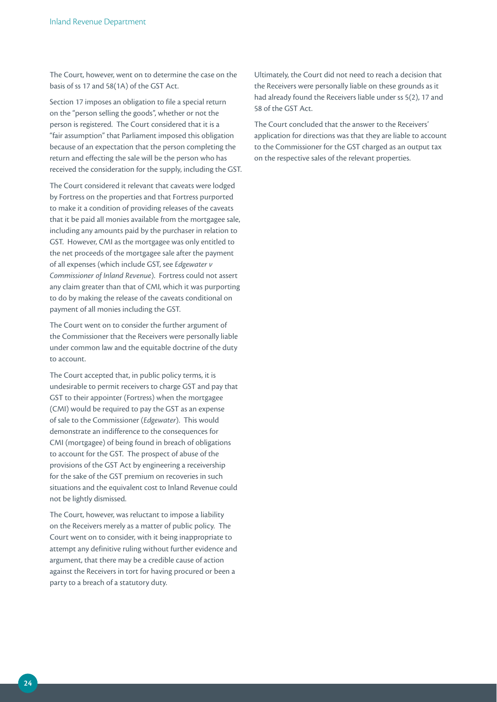The Court, however, went on to determine the case on the basis of ss 17 and 58(1A) of the GST Act.

Section 17 imposes an obligation to file a special return on the "person selling the goods", whether or not the person is registered. The Court considered that it is a "fair assumption" that Parliament imposed this obligation because of an expectation that the person completing the return and effecting the sale will be the person who has received the consideration for the supply, including the GST.

The Court considered it relevant that caveats were lodged by Fortress on the properties and that Fortress purported to make it a condition of providing releases of the caveats that it be paid all monies available from the mortgagee sale, including any amounts paid by the purchaser in relation to GST. However, CMI as the mortgagee was only entitled to the net proceeds of the mortgagee sale after the payment of all expenses (which include GST, see *Edgewater v Commissioner of Inland Revenue*). Fortress could not assert any claim greater than that of CMI, which it was purporting to do by making the release of the caveats conditional on payment of all monies including the GST.

The Court went on to consider the further argument of the Commissioner that the Receivers were personally liable under common law and the equitable doctrine of the duty to account.

The Court accepted that, in public policy terms, it is undesirable to permit receivers to charge GST and pay that GST to their appointer (Fortress) when the mortgagee (CMI) would be required to pay the GST as an expense of sale to the Commissioner (*Edgewater*). This would demonstrate an indifference to the consequences for CMI (mortgagee) of being found in breach of obligations to account for the GST. The prospect of abuse of the provisions of the GST Act by engineering a receivership for the sake of the GST premium on recoveries in such situations and the equivalent cost to Inland Revenue could not be lightly dismissed.

The Court, however, was reluctant to impose a liability on the Receivers merely as a matter of public policy. The Court went on to consider, with it being inappropriate to attempt any definitive ruling without further evidence and argument, that there may be a credible cause of action against the Receivers in tort for having procured or been a party to a breach of a statutory duty.

Ultimately, the Court did not need to reach a decision that the Receivers were personally liable on these grounds as it had already found the Receivers liable under ss 5(2), 17 and 58 of the GST Act.

The Court concluded that the answer to the Receivers' application for directions was that they are liable to account to the Commissioner for the GST charged as an output tax on the respective sales of the relevant properties.